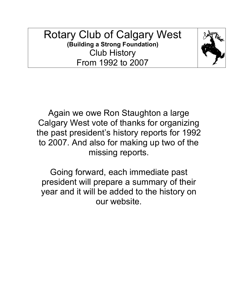# Rotary Club of Calgary West **(Building a Strong Foundation)** Club History From 1992 to 2007



Again we owe Ron Staughton a large Calgary West vote of thanks for organizing the past president's history reports for 1992 to 2007. And also for making up two of the missing reports.

Going forward, each immediate past president will prepare a summary of their year and it will be added to the history on our website.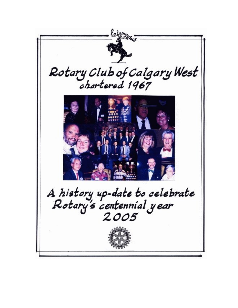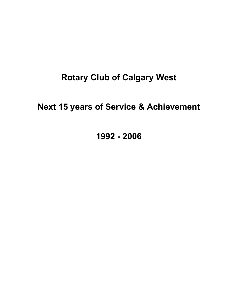# **Rotary Club of Calgary West**

# **Next 15 years of Service & Achievement**

**1992 - 2006**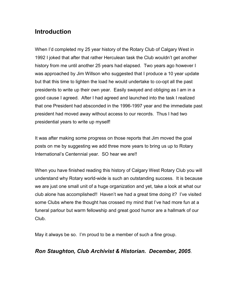# **Introduction**

When I'd completed my 25 year history of the Rotary Club of Calgary West in 1992 I joked that after that rather Herculean task the Club wouldn't get another history from me until another 25 years had elapsed. Two years ago however I was approached by Jim Willson who suggested that I produce a 10 year update but that this time to lighten the load he would undertake to co-opt all the past presidents to write up their own year. Easily swayed and obliging as I am in a good cause I agreed. After I had agreed and launched into the task I realized that one President had absconded in the 1996-1997 year and the immediate past president had moved away without access to our records. Thus I had two presidential years to write up myself!

It was after making some progress on those reports that Jim moved the goal posts on me by suggesting we add three more years to bring us up to Rotary International's Centennial year. SO hear we are!!

When you have finished reading this history of Calgary West Rotary Club you will understand why Rotary world-wide is such an outstanding success. It is because we are just one small unit of a huge organization and yet, take a look at what our club alone has accomplished!! Haven't we had a great time doing it? I've visited some Clubs where the thought has crossed my mind that I've had more fun at a funeral parlour but warm fellowship and great good humor are a hallmark of our Club.

May it always be so. I'm proud to be a member of such a fine group.

# *Ron Staughton, Club Archivist & Historian. December, 2005*.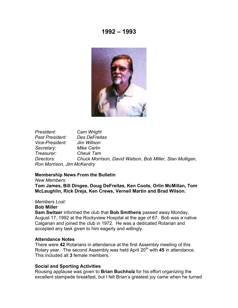

*President: Cam Wright Past President: Des DeFreitas Vice-President: Jim Willson Secretary: Mike Carlin Treasurer: Cheuk Tam Directors: Chuck Morrison, David Watson, Bob Miller, Stan Mulligan, Ron Morrison, Jim McKendry*

#### **Membership News From the Bulletin**

*New Members:*

**Tom James, Bill Dingee, Doug DeFreitas, Ken Coots, Orlin McMillan, Tom McLaughlin, Rick Dreja, Ken Crews, Verneil Martin and Brad Wilson.**

#### *Members Lost:* **Bob Miller**

**Sam Switzer** informed the club that **Bob Smithens** passed away Monday, August 17, 1992 at the Rockyview Hospital at the age of 67. Bob was a native Calgarian and joined the club in 1972. He was a dedicated Rotarian and accepted any task given to him eagerly and willingly.

#### **Attendance Notes**

There were **42** Rotarians in attendance at the first Assembly meeting of this Rotary year. The second Assembly was held April 20<sup>th</sup> with 45 in attendance. This included all **3** female members.

#### **Social and Sporting Activities**

Rousing applause was given to **Brian Buchholz** for his effort organizing the excellent stampede breakfast, but I felt Brian's greatest joy came when he turned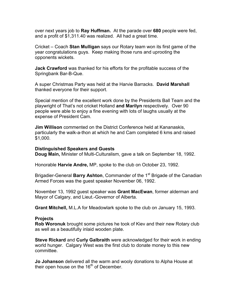over next years job to **Ray Huffman.** At the parade over **680** people were fed, and a profit of \$1,311.40 was realized. All had a great time.

Cricket – Coach **Stan Mulligan** says our Rotary team won its first game of the year congratulations guys. Keep making those runs and uprooting the opponents wickets.

**Jack Crawford** was thanked for his efforts for the profitable success of the Springbank Bar-B-Que.

A super Christmas Party was held at the Harvie Barracks. **David Marshall**  thanked everyone for their support.

Special mention of the excellent work done by the Presidents Ball Team and the playwright of That's not cricket Holland **and Marilyn** respectively. Over 90 people were able to enjoy a fine evening with lots of laughs usually at the expense of President Cam.

**Jim Willison** commented on the District Conference held at Kananaskis, particularly the walk-a-thon at which he and Cam completed 6 kms and raised \$1,000.

#### **Distinguished Speakers and Guests**

**Doug Main,** Minister of Multi-Culturalism, gave a talk on September 18, 1992.

Honorable **Harvie Andre,** MP, spoke to the club on October 23, 1992.

Brigadier-General **Barry Ashton**, Commander of the 1<sup>st</sup> Brigade of the Canadian Armed Forces was the guest speaker November 06, 1992.

November 13, 1992 guest speaker was **Grant MacEwan**, former alderman and Mayor of Calgary, and Lieut.-Governor of Alberta.

**Grant Mitchell,** M.L.A for Meadowlark spoke to the club on January 15, 1993.

#### **Projects**

**Rob Woronuk** brought some pictures he took of Kiev and their new Rotary club as well as a beautifully inlaid wooden plate.

**Steve Rickard** and **Curly Galbraith** were acknowledged for their work in ending world hunger. Calgary West was the first club to donate money to this new committee.

**Jo Johanson** delivered all the warm and wooly donations to Alpha House at their open house on the  $16<sup>th</sup>$  of December.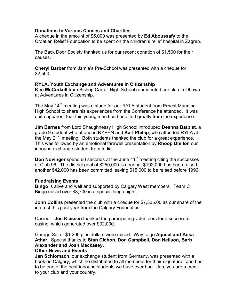### **Donations to Various Causes and Charities**

A cheque in the amount of \$5,000 was presented by **Ed Aboussafy** to the Croatian Relief Foundation to be spent on the children's relief hospital in Zagreb.

The Back Door Society thanked us for our recent donation of \$1,500 for their causes.

**Cheryl Barber** from Jamie's Pre-School was presented with a cheque for \$2,500.

### **RYLA, Youth Exchange and Adventures in Citizenship**

**Kim McCorkell** from Bishop Carroll High School represented our club in Ottawa at Adventures in Citizenship.

The May 14<sup>th</sup> meeting was a stage for our RYLA student from Ernest Manning High School to share his experiences from the Conference he attended. It was quite apparent that this young man has benefited greatly from the experience.

**Jim Barnes** from Lord Shaughnessy High School introduced **Deanna Batpist**, a grade 9 student who attended RYPEN and **Karl Phillip**, who attended RYLA at the May  $21^{st}$  meeting. Both students thanked the club for a great experience. This was followed by an emotional farewell presentation by **Rhoop Dhillon** our inbound exchange student from India.

**Don Novinger** spend 60 seconds at the June 11<sup>th</sup> meeting citing the successes of Club 96. The district goal of \$250,000 is nearing, \$192,000 has been raised, another \$42,000 has been committed leaving \$15,000 to be raised before 1996.

#### **Fundraising Events**

**Bingo** is alive and well and supported by Calgary West members. Team C Bingo raised over \$8,700 in a special bingo night.

**John Collins** presented the club with a cheque for \$7,335.00 as our share of the interest this past year from the Calgary Foundation.

Casino – **Joe Klassen** thanked the participating volunteers for a successful casino, which generated over \$32,000.

Garage Sale - \$1,200 plus dollars were raised. Way to go **Aqueel and Ansa Athar**. Special thanks to **Stan Cichon, Don Campbell, Don Neilson, Barb Alexander and Joan Mackasey.**

#### **Other News and Events**

**Jan Schlomach**, our exchange student from Germany, was presented with a book on Calgary, which he distributed to all members for their signature. Jan has to be one of the best-inbound students we have ever had. Jan, you are a credit to your club and your country.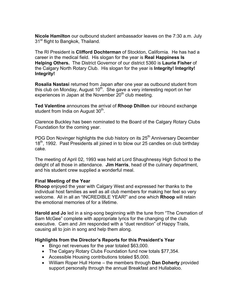**Nicole Hamilton** our outbound student ambassador leaves on the 7:30 a.m. July 31<sup>st</sup> flight to Bangkok, Thailand.

The RI President is **Clifford Dochterman** of Stockton, California. He has had a career in the medical field. His slogan for the year is **Real Happiness Is Helping Others.** The District Governor of our district 5360 is **Laurie Fisher** of the Calgary North Rotary Club. His slogan for the year is **Integrity! Integrity! Integrity!**

**Rosalia Nastasi** returned from Japan after one year as outbound student from this club on Monday, August  $10<sup>th</sup>$ . She gave a very interesting report on her experiences in Japan at the November  $20<sup>th</sup>$  club meeting.

**Ted Valentine** announces the arrival of **Rhoop Dhillon** our inbound exchange student from India on August 30<sup>th</sup>.

Clarence Buckley has been nominated to the Board of the Calgary Rotary Clubs Foundation for the coming year.

PDG Don Novinger highlights the club history on its 25<sup>th</sup> Anniversary December 18<sup>th</sup>, 1992. Past Presidents all joined in to blow our 25 candles on club birthday cake.

The meeting of April 02, 1993 was held at Lord Shaughnessy High School to the delight of all those in attendance. **Jim Harris**, head of the culinary department, and his student crew supplied a wonderful meal.

### **Final Meeting of the Year**

**Rhoop** enjoyed the year with Calgary West and expressed her thanks to the individual host families as well as all club members for making her feel so very welcome. All in all an "INCREDIBLE YEAR!" and one which **Rhoop** will retain the emotional memories of for a lifetime.

**Harold and Jo** led in a sing-song beginning with the tune from "The Cremation of Sam McGee" complete with appropriate lyrics for the changing of the club executive. Cam and Jim responded with a "duet rendition" of Happy Trails, causing all to join in song and help them along.

### **Highlights from the Director's Reports for this President's Year**

- Bingo net revenues for the year totaled \$63,000.
- The Calgary Rotary Clubs Foundation fund now totals \$77,354.
- Accessible Housing contributions totaled \$5,000.
- William Roper Hull Home the members through **Dan Doherty** provided support personally through the annual Breakfast and Hullabaloo.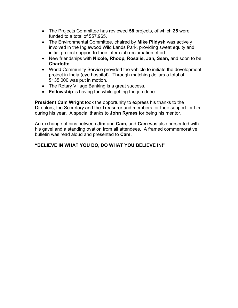- The Projects Committee has reviewed **58** projects, of which **25** were funded to a total of \$57,965.
- The Environmental Committee, chaired by **Mike Pildysh** was actively involved in the Inglewood Wild Lands Park, providing sweat equity and initial project support to their inter-club reclamation effort.
- New friendships with **Nicole, Rhoop, Rosalie, Jan, Sean,** and soon to be **Charlotte.**
- World Community Service provided the vehicle to initiate the development project in India (eye hospital). Through matching dollars a total of \$135,000 was put in motion.
- The Rotary Village Banking is a great success.
- **Fellowship** is having fun while getting the job done.

**President Cam Wright** took the opportunity to express his thanks to the Directors, the Secretary and the Treasurer and members for their support for him during his year. A special thanks to **John Rymes** for being his mentor.

An exchange of pins between **Jim** and **Cam,** and **Cam** was also presented with his gavel and a standing ovation from all attendees. A framed commemorative bulletin was read aloud and presented to **Cam.**

# **"BELIEVE IN WHAT YOU DO, DO WHAT YOU BELIEVE IN!"**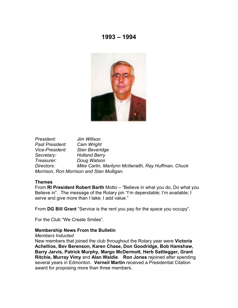

*President: Jim Willson Past President: Cam Wright Vice-President: Stan Beveridge Secretary: Holland Berry Treasurer: Doug Watson Directors: Mike Carlin, Marilynn McIlwraith, Ray Huffman, Chuck Morrison, Ron Morrison and Stan Mulligan.*

#### **Themes**

From **RI President Robert Barth** Motto – "Believe in what you do, Do what you Believe in". The message of the Rotary pin "I'm dependable; I'm available; I serve and give more than I take; I add value."

From **DG Bill Grant** "Service is the rent you pay for the space you occupy".

For the Club "We Create Smiles".

#### **Membership News From the Bulletin**

#### *Members Inducted*

New members that joined the club throughout the Rotary year were **Victoria Achellios, Bev Berenson, Karen Chase, Don Goodridge, Bob Hamshaw, Barry Jarvis, Patrick Murphy, Margo McDermott, Herb Sattlegger, Grant Ritchie, Murray Vimy** and **Alan Waldie**. **Ron Jones** rejoined after spending several years in Edmonton. **Verneil Martin** received a Presidential Citation award for proposing more than three members.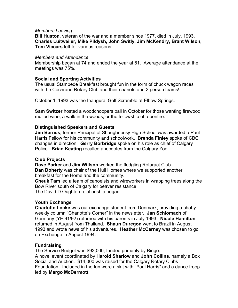#### *Members Leaving*

**Bill Huston**, veteran of the war and a member since 1977, died in July, 1993. **Charles Luitweiler, Mike Pildysh, John Switly, Jim McKendry, Brant Wilson, Tom Viccars** left for various reasons.

#### *Members and Attendance*

Membership began at 74 and ended the year at 81. Average attendance at the meetings was 75%.

#### **Social and Sporting Activities**

The usual Stampede Breakfast brought fun in the form of chuck wagon races with the Cochrane Rotary Club and their chariots and 2 person teams!

October 1, 1993 was the Inaugural Golf Scramble at Elbow Springs.

**Sam Switzer** hosted a woodchoppers ball in October for those wanting firewood, mulled wine, a walk in the woods, or the fellowship of a bonfire.

#### **Distinguished Speakers and Guests**

**Jim Barnes**, former Principal of Shaughnessy High School was awarded a Paul Harris Fellow for his community and schoolwork. **Brenda Finley** spoke of CBC changes in direction. **Gerry Borbridge** spoke on his role as chief of Calgary Police. **Brian Keating** recalled anecdotes from the Calgary Zoo.

#### **Club Projects**

**Dave Parker** and **Jim Willson** worked the fledgling Rotaract Club. **Dan Doherty** was chair of the Hull Homes where we supported another breakfast for the Home and the community.

**Cheuk Tam** led a team of canoeists and wireworkers in wrapping trees along the Bow River south of Calgary for beaver resistance! The David D Oughton relationship began.

#### **Youth Exchange**

**Charlotte Locke** was our exchange student from Denmark, providing a chatty weekly column "Charlotte's Corner" in the newsletter. **Jan Schlomach** of Germany (YE 91/92) returned with his parents in July 1993. **Nicole Hamilton** returned in August from Thailand. **Shaun Duregon** went to Brazil in August 1993 and wrote news of his adventures. **Heather McCarney** was chosen to go on Exchange in August 1994.

#### **Fundraising**

The Service Budget was \$93,000, funded primarily by Bingo. A novel event coordinated by **Harold Sharlow** and **John Collins**, namely a Box Social and Auction. \$14,000 was raised for the Calgary Rotary Clubs Foundation. Included in the fun were a skit with "Paul Harris" and a dance troop led by **Margo McDermott**.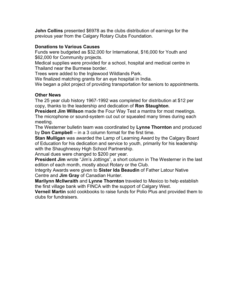**John Collins** presented \$6978 as the clubs distribution of earnings for the previous year from the Calgary Rotary Clubs Foundation.

# **Donations to Various Causes**

Funds were budgeted as \$32,000 for International, \$16,000 for Youth and \$62,000 for Community projects.

Medical supplies were provided for a school, hospital and medical centre in Thailand near the Burmese border.

Trees were added to the Inglewood Wildlands Park.

We finalized matching grants for an eye hospital in India.

We began a pilot project of providing transportation for seniors to appointments.

# **Other News**

The 25 year club history 1967-1992 was completed for distribution at \$12 per copy, thanks to the leadership and dedication of **Ron Staughton**.

**President Jim Willson** made the Four Way Test a mantra for most meetings. The microphone or sound-system cut out or squealed many times during each meeting.

The Westerner bulletin team was coordinated by **Lynne Thornton** and produced by **Don Campbell** – in a 3 column format for the first time.

**Stan Mulligan** was awarded the Lamp of Learning Award by the Calgary Board of Education for his dedication and service to youth, primarily for his leadership with the Shaughnessy High School Partnership.

Annual dues were changed to \$200 per year.

**President Jim** wrote "Jim's Jottings", a short column in The Westerner in the last edition of each month, mostly about Rotary or the Club.

Integrity Awards were given to **Sister Ida Beaudin** of Father Latour Native Centre and **Jim Gray** of Canadian Hunter.

**Marilynn McIlwraith** and **Lynne Thornton** traveled to Mexico to help establish the first village bank with FINCA with the support of Calgary West.

**Verneil Martin** sold cookbooks to raise funds for Polio Plus and provided them to clubs for fundraisers.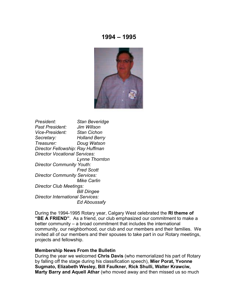

*President: Stan Beveridge Past President: Jim Willson Vice-President: Stan Cichon Secretary: Holland Berry Treasurer: Doug Watson Director Fellowship: Ray Huffman Director Vocational Services: Lynne Thornton Director Community Youth: Fred Scott Director Community Services: Mike Carlin Director Club Meetings: Bill Dingee Director International Services: Ed Aboussafy*

During the 1994-1995 Rotary year, Calgary West celebrated the **RI theme of "BE A FRIEND"**. As a friend, our club emphasized our commitment to make a better community – a broad commitment that includes the international community, our neighborhood, our club and our members and their families. We invited all of our members and their spouses to take part in our Rotary meetings, projects and fellowship.

#### **Membership News From the Bulletin**

During the year we welcomed **Chris Davis** (who memorialized his part of Rotary by falling off the stage during his classification speech), **Mier Porat, Yvonne Sugmato, Elizabeth Wesley, Bill Faulkner, Rick Shulli, Walter Krawciw, Marty Barry and Aquell Athar** (who moved away and then missed us so much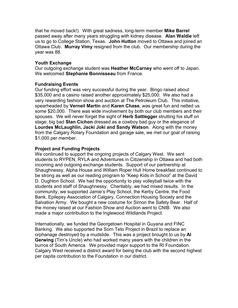that he moved back!). With great sadness, long-term member **Mike Barrel** passed away after many years struggling with kidney disease. **Alan Waldie** left us to go to College Station, Texas. **John Hutton** moved to Ottawa and joined an Ottawa Club. **Murray Vimy** resigned from the club. Our membership during the year was 88.

### **Youth Exchange**

Our outgoing exchange student was **Heather McCarney** who went off to Japan. We welcomed **Stephanie Bonnisseau** from France.

# **Fundraising Events**

Our funding effort was very successful during the year. Bingo raised about \$35,000 and a casino raised another approximately \$25,000. We also had a very rewarding fashion show and auction at The Petroleum Club. This initiative, spearheaded by **Verneil Martin** and **Karen Chase**, was great fun and netted us some \$20,000. There was wide involvement by both our club members and their spouses. We will never forget the sight of **Herb Sattlegger** strutting his stuff on stage; big bad **Stan Cichon** dressed as a cowboy bad guy or the elegance of **Lourdes McLaughlin, Jacki Joki and Sandy Watson**. Along with the money from the Calgary Rotary Foundation and garage sale, we met our goal of raising \$1,000 per member.

### **Project and Funding Projects**

We continued to support the ongoing projects of Calgary West. We sent students to RYPEN, RYLA and Adventures in Citizenship in Ottawa and had both incoming and outgoing exchange students. Support of our partnership at Shaughnessy, Alpha House and William Roper Hull Home breakfast continued to be strong as well as our reading program to "Keep Kids in School" at the David D. Oughton School. We had the opportunity to play volleyball twice with the students and staff of Shaughnessy. Charitably, we had mixed results. In the community, we supported Jamie's Play School, the Kerby Centre, the Food Bank, Epilepsy Association of Calgary, Connection Housing Society and the Salvation Army. We bought a new costume for Simon the Safety Bear. Half of the money raised at our Fashion Show and Auction went to CNIB. We also made a major contribution to the Inglewood Wildlands Project.

Internationally, we funded the Georgetown Hospital in Guyana and FINC Banking. We also supported the Sorn Teto Project in Brazil to replace an orphanage destroyed by a mudslide. This was a project brought to us by **Al Gerwing** (Tim's Uncle) who had worked many years with the children in the burros of South America. We provided major support to the RI Foundation. Calgary West received a district award for being the club with the second highest per capita contribution to the Foundation in our district.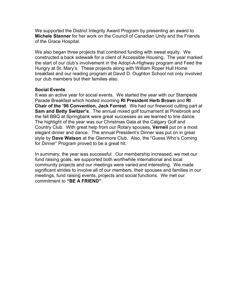We supported the District Integrity Award Program by presenting an award to **Michele Stanner** for her work on the Council of Canadian Unity and the Friends of the Grace Hospital.

We also began three projects that combined funding with sweat equity. We constructed a back sidewalk for a client of Accessible Housing. The year marked the start of our club's involvement in the Adopt-A-Highway program and Feed the Hungry at St. Mary's. These projects along with William Roper Hull Home breakfast and our reading program at David D. Oughton School not only involved our club members but their families also.

#### **Social Events**

It was an active year for social events. We started the year with our Stampede Parade Breakfast which hosted incoming **RI President Herb Brown** and **RI Chair of the '96 Convention, Jack Forrest**. We had our firewood cutting part at **Sam and Betty Switzer's**. The annual mixed golf tournament at Pinebrook and the fall BBQ at Springbank were great successes as we learned to line dance. The highlight of the year was our Christmas Gala at the Calgary Golf and Country Club. With great help from our Rotary spouses, **Verneil** put on a most elegant dinner and dance. The annual President's Dinner was put on in great style by **Dave Watson** at the Glenmore Club. Also, the "Guess Who's Coming for Dinner" Program proved to be a great hit.

In summary, the year was successful. Our membership increased, we met our fund raising goals, we supported both worthwhile international and local community projects and our meetings were varied and interesting. We made significant strides to involve all of our members, their spouses and families in our meetings, fund raising events, projects and social functions. We met our commitment to **"BE A FRIEND"**.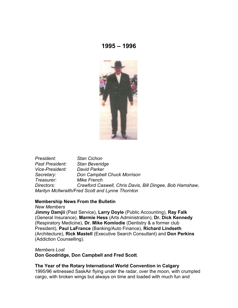

*President: Stan Cichon Past President: Stan Beveridge Vice-President: David Parker Secretary: Don Campbell Chuck Morrison Treasurer: Mike French Directors: Crawford Caswell, Chris Davis, Bill Dingee, Bob Hamshaw, Marilyn McIlwraith/Fred Scott and Lynne Thornton*

#### **Membership News From the Bulletin**

*New Members*

**Jimmy Damjii** (Past Service), **Larry Doyle** (Public Accounting), **Ray Falk** (General Insurance), **Marmie Hess** (Arts Administration), **Dr. Dick Kennedy** (Respiratory Medicine), **Dr. Mike Komlodie** (Dentistry & a former club President), **Paul LaFrance** (Banking/Auto Finance), **Richard Lindseth**  (Architecture), **Rick Mastell** (Executive Search Consultant) and **Don Perkins** (Addiction Counselling).

#### *Members Lost*

**Don Goodridge, Don Campbell and Fred Scott**.

#### **The Year of the Rotary International World Convention in Calgary**

1995/96 witnessed SaskAir flying under the radar, over the moon, with crumpled cargo, with broken wings but always on time and loaded with much fun and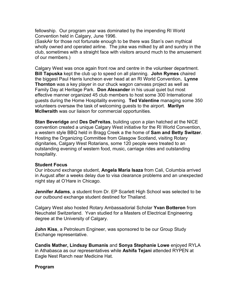fellowship. Our program year was dominated by the impending RI World Convention held in Calgary, June 1996.

(SaskAir for those not fortunate enough to be there was Stan's own mythical wholly owned and operated airline. The joke was milked by all and sundry in the club, sometimes with a straight face with visitors around much to the amusement of our members.)

Calgary West was once again front row and centre in the volunteer department. **Bill Tapuska** kept the club up to speed on all planning. **John Rymes** chaired the biggest Paul Harris luncheon ever head at an RI World Convention**. Lynne Thornton** was a key player in our chuck wagon canvass project as well as Family Day at Heritage Park. **Don Alexander** in his usual quiet but most effective manner organized 45 club members to host some 300 International guests during the Home Hospitality evening. **Ted Valentine** managing some 350 volunteers oversaw the task of welcoming guests to the airport. **Marilyn McIlwraith** was our liaison for commercial opportunities.

**Stan Beveridge** and **Des DeFreitas**, building upon a plan hatched at the NICE convention created a unique Calgary West initiative for the RI World Convention, a western style BBQ held in Bragg Creek a the home of **Sam and Betty Switzer**. Hosting the Organizing Committee from Glasgow Scotland, visiting Rotary dignitaries, Calgary West Rotarians, some 120 people were treated to an outstanding evening of western food, music, carriage rides and outstanding hospitality.

### **Student Focus**

Our inbound exchange student, **Angela Maria Isaza** from Cali, Columbia arrived in August after a weeks delay due to visa clearance problems and an unexpected night stay at O'Hare in Chicago.

**Jennifer Adams**, a student from Dr. EP Scarlett High School was selected to be our outbound exchange student destined for Thailand.

Calgary West also hosted Rotary Ambassadorial Scholar **Yvan Botteron** from Neuchatel Switzerland. Yvan studied for a Masters of Electrical Engineering degree at the University of Calgary.

**John Kiss**, a Petroleum Engineer, was sponsored to be our Group Study Exchange representative.

**Candis Mather, Lindsay Bumanis** and **Sonya Stephanie Lowe** enjoyed RYLA in Athabasca as our representatives while **Ashifa Tejani** attended RYPEN at Eagle Nest Ranch near Medicine Hat.

### **Program**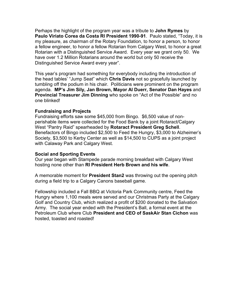Perhaps the highlight of the program year was a tribute to **John Rymes** by **Paulo Viriato Corea da Costa RI President 1990-91**. Paulo stated, "Today, it is my pleasure, as chairman of the Rotary Foundation, to honor a person, to honor a fellow engineer, to honor a fellow Rotarian from Calgary West, to honor a great Rotarian with a Distinguished Service Award. Every year we grant only 50. We have over 1.2 Million Rotarians around the world but only 50 receive the Distinguished Service Award every year".

This year's program had something for everybody including the introduction of the head tables' "Jump Seat" which **Chris Davis** not so gracefully launched by tumbling off the podium in his chair. Politicians were prominent on the program agenda. **MP's Jim Sily, Jan Brown, Mayor Al Duerr, Senator Dan Hayes** and **Provincial Treasurer Jim Dinning** who spoke on "Act of the Possible" and no one blinked!

#### **Fundraising and Projects**

Fundraising efforts saw some \$45,000 from Bingo. \$6,500 value of nonperishable items were collected for the Food Bank by a joint Rotaract/Calgary West "Pantry Raid" spearheaded by **Rotaract President Greg Schell**. Benefactors of Bingo included \$2,500 to Feed the Hungry, \$3,000 to Alzheimer's Society, \$3,500 to Kerby Center as well as \$14,500 to CUPS as a joint project with Calaway Park and Calgary West.

#### **Social and Sporting Events**

Our year began with Stampede parade morning breakfast with Calgary West hosting none other than **RI President Herb Brown and his wife**.

A memorable moment for **President Stan2** was throwing out the opening pitch during a field trip to a Calgary Canons baseball game.

Fellowship included a Fall BBQ at Victoria Park Community centre, Feed the Hungry where 1,100 meals were served and our Christmas Party at the Calgary Golf and Country Club, which realized a profit of \$200 donated to the Salvation Army. The social year ended with the President's Ball, a formal event at the Petroleum Club where Club **President and CEO of SaskAir Stan Cichon** was hosted, toasted and roasted!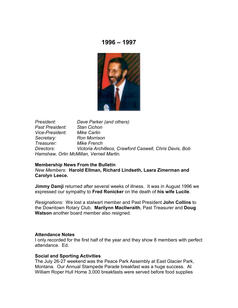

*President: Dave Parker (and others) Past President: Stan Cichon Vice-President: Mike Carlin Secretary: Ron Morrison Treasurer: Mike French Directors: Victoria Archilleos, Crawford Caswell, Chris Davis, Bob Hamshaw, Orlin McMillan, Verneil Martin.*

#### **Membership News From the Bulletin**

*New Members*: **Harold Ellman, Richard Lindseth, Laara Zimerman and Carolyn Leece.**

**Jimmy Damji** returned after several weeks of illness. It was in August 1996 we expressed our sympathy to **Fred Ronicker** on the death of **his wife Lucile**.

*Resignations:* We lost a stalwart member and Past President **John Collins** to the Downtown Rotary Club. **Marilynn MacIlwraith**, Past Treasurer and **Doug Watson** another board member also resigned.

#### **Attendance Notes**

I only recorded for the first half of the year and they show 8 members with perfect attendance. Ed.

#### **Social and Sporting Activities**

The July 26-27 weekend was the Peace Park Assembly at East Glacier Park, Montana. Our Annual Stampede Parade breakfast was a huge success. At William Roper Hull Home 3,000 breakfasts were served before food supplies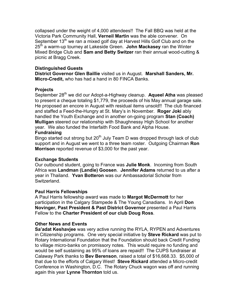collapsed under the weight of 4,000 attendees!! The Fall BBQ was held at the Victoria Park Community Hall, **Verneil Martin** was the able convener. On September 13<sup>th</sup> we ran a mixed golf day at Harvest Hills Golf Club and on the 25th a warm-up tourney at Lakeside Green. **John Mackasey** ran the Winter Mixed Bridge Club and **Sam and Betty Switzer** ran their annual wood-cutting & picnic at Bragg Creek.

# **Distinguished Guests**

**District Governor Glen Baillie** visited us in August. **Marshall Sanders, Mr. Micro-Credit,** who has had a hand in 80 FINCA Banks.

# **Projects**

September 28<sup>th</sup> we did our Adopt-a-Highway cleanup. Aqueel Atha was pleased to present a cheque totaling \$1,779, the proceeds of his May annual garage sale. He proposed an encore in August with residual items unsold!! The club financed and staffed a Feed-the-Hungry at St. Mary's in November. **Roger Joki** ably handled the Youth Exchange and in another on-going program **Stan (Coach) Mulligan** steered our relationship with Shaughnessy High School for another year. We also funded the Interfaith Food Bank and Alpha House.

# **Fundraising**

Bingo started out strong but 20<sup>th</sup> July Team D was dropped through lack of club support and in August we went to a three team roster. Outgoing Chairman **Ron Morrison** reported revenue of \$3,000 for the past year.

### **Exchange Students**

Our outbound student, going to France was **Julie Monk**. Incoming from South Africa was **Landman (Landie) Goosen**. **Jennifer Adams** returned to us after a year in Thailand. **Yvan Botteron** was our Ambassadorial Scholar from Switzerland.

### **Paul Harris Fellowships**

A Paul Harris fellowship award was made to **Margot McDermott** for her participation in the Calgary Stampede & The Young Canadians. In April **Don Novinger, Past President & Past District Governor** presented a Paul Harris Fellow to the **Charter President of our club Doug Ross**.

### **Other News and Events**

**Sa'adat Keshavjee** was very active running the RYLA, RYPEN and Adventures in Citizenship programs. One very special initiative by **Steve Rickard** was put to Rotary International Foundation that the Foundation should back Credit Funding to village micro-banks on promissory notes. This would require no funding and would be self sustaining as 95% of loans are repaid!! The CUPS fundraiser at Calaway Park thanks to **Bev Berenson**, raised a total of \$16,668.33. \$5,000 of that due to the efforts of Calgary West! **Steve Rickard** attended a Micro-credit Conference in Washington, D.C. The Rotary Chuck wagon was off and running again this year **Lynne Thornton** told us.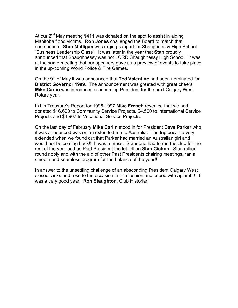At our  $2^{nd}$  May meeting \$411 was donated on the spot to assist in aiding Manitoba flood victims. **Ron Jones** challenged the Board to match that contribution. **Stan Mulligan** was urging support for Shaughnessy High School "Business Leadership Class". It was later in the year that **Stan** proudly announced that Shaughnessy was not LORD Shaughnessy High School! It was at the same meeting that our speakers gave us a preview of events to take place in the up-coming World Police & Fire Games.

On the 9th of May it was announced that **Ted Valentine** had been nominated for **District Governor 1999**. The announcement was greeted with great cheers. **Mike Carlin** was introduced as incoming President for the next Calgary West Rotary year.

In his Treasure's Report for 1996-1997 **Mike French** revealed that we had donated \$16,690 to Community Service Projects, \$4,500 to International Service Projects and \$4,907 to Vocational Service Projects.

On the last day of February **Mike Carlin** stood in for President **Dave Parker** who it was announced was on an extended trip to Australia. The trip became very extended when we found out that Parker had married an Australian girl and would not be coming back!! It was a mess. Someone had to run the club for the rest of the year and as Past President the lot fell on **Stan Cichon**. Stan rallied round nobly and with the aid of other Past Presidents chairing meetings, ran a smooth and seamless program for the balance of the year!!

In answer to the unsettling challenge of an absconding President Calgary West closed ranks and rose to the occasion in fine fashion and coped with aplomb!!! It was a very good year! **Ron Staughton**, Club Historian.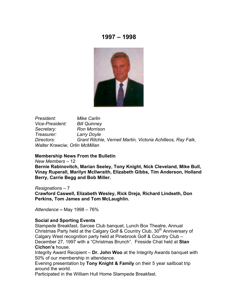

*President: Mike Carlin Vice-President: Bill Quinney Secretary: Ron Morrison Treasurer: Larry Doyle Directors: Grant Ritchie, Verneil Martin, Victoria Achilleos, Ray Falk, Walter Krawciw, Orlin McMillan*

#### **Membership News From the Bulletin**

#### *New Members* – 12

**Bernie Rabinovitch, Marian Seeley, Tony Knight, Nick Cleveland, Mike Bull, Vinay Ruperall, Marilyn McIlwraith, Elizabeth Gibbs, Tim Anderson, Holland Berry, Carrie Begg and Bob Miller.**

#### *Resignations* – 7

**Crawford Caswell, Elizabeth Wesley, Rick Dreja, Richard Lindseth, Don Perkins, Tom James and Tom McLaughlin.**

*Attendance* **–** May 1998 – 76%

#### **Social and Sporting Events**

Stampede Breakfast, Sarcee Club banquet, Lunch Box Theatre, Annual Christmas Party held at the Calgary Golf & Country Club, 30<sup>th</sup> Anniversary of Calgary West recognition party held at Pinebrook Golf & Country Club – December 27, 1997 with a "Christmas Brunch". Fireside Chat held at **Stan Cichon's** house.

Integrity Award Recipient – **Dr. John Woo** at the Integrity Awards banquet with 50% of our membership in attendance.

Evening presentation by **Tony Knight & Family** on their 5 year sailboat trip around the world.

Participated in the William Hull Home Stampede Breakfast.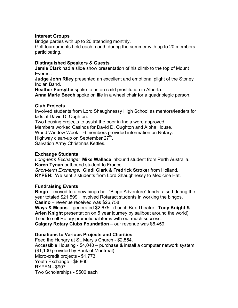### **Interest Groups**

Bridge parties with up to 20 attending monthly. Golf tournaments held each month during the summer with up to 20 members participating.

# **Distinguished Speakers & Guests**

**Jamie Clark** had a slide show presentation of his climb to the top of Mount Everest.

**Judge John Riley** presented an excellent and emotional plight of the Stoney Indian Band.

**Heather Forsythe** spoke to us on child prostitution in Alberta.

**Anna Marie Beech** spoke on life in a wheel chair for a quadriplegic person.

# **Club Projects**

Involved students from Lord Shaughnessy High School as mentors/leaders for kids at David D. Oughton.

Two housing projects to assist the poor in India were approved. Members worked Casinos for David D. Oughton and Alpha House. World Window Week – 6 members provided information on Rotary. Highway clean-up on September 27<sup>th</sup>. Salvation Army Christmas Kettles.

### **Exchange Students**

*Long-term Exchange:* **Mike Wallace** inbound student from Perth Australia. **Karen Tynan** outbound student to France.

*Short-term Exchange:* **Cindi Clark** & **Fredrick Stroker** from Holland. **RYPEN:** We sent 2 students from Lord Shaughnessy to Medicine Hat.

# **Fundraising Events**

**Bingo** – moved to a new bingo hall "Bingo Adventure" funds raised during the year totaled \$21,599. Involved Rotaract students in working the bingos. **Casino** – revenue received was \$26,758.

**Ways & Means** – generated \$2,675. (Lunch Box Theatre. **Tony Knight & Arien Knight** presentation on 5 year journey by sailboat around the world). Tried to sell Rotary promotional items with out much success.

**Calgary Rotary Clubs Foundation** – our revenue was \$6,459.

# **Donations to Various Projects and Charities**

Feed the Hungry at St. Mary's Church - \$2,554. Accessible Housing - \$4,040 – purchase & install a computer network system (\$1,100 provided by Bank of Montreal). Micro-credit projects - \$1,773. Youth Exchange - \$9,860 RYPEN - \$907 Two Scholarships - \$500 each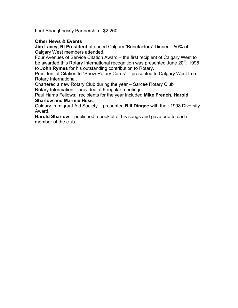Lord Shaughnessy Partnership - \$2,260.

# **Other News & Events**

**Jim Lacey, RI President** attended Calgary "Benefactors" Dinner – 50% of Calgary West members attended.

Four Avenues of Service Citation Award – the first recipient of Calgary West to be awarded this Rotary International recognition was presented June 20<sup>th</sup>, 1998 to **John Rymes** for his outstanding contribution to Rotary.

Presidential Citation to "Show Rotary Cares" – presented to Calgary West from Rotary International.

Chartered a new Rotary Club during the year – Sarcee Rotary Club Rotary Information – provided at 9 regular meetings.

Paul Harris Fellows: recipients for the year included **Mike French, Harold Sharlow and Marmie Hess**.

Calgary Immigrant Aid Society – presented **Bill Dingee** with their 1998 Diversity Award.

**Harold Sharlow** – published a booklet of his songs and gave one to each member of the club.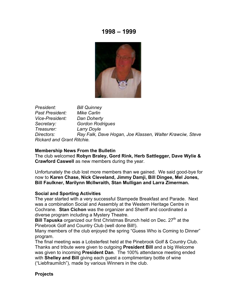

*President: Bill Quinney Past President: Mike Carlin Vice-President: Dan Doherty Secretary: Gordon Rodrigues Treasurer: Larry Doyle Directors: Ray Falk, Dave Hogan, Joe Klassen, Walter Krawciw, Steve Rickard and Grant Ritchie.*

#### **Membership News From the Bulletin**

The club welcomed **Robyn Braley, Gord Rink, Herb Sattlegger, Dave Wylie & Crawford Caswell** as new members during the year.

Unfortunately the club lost more members than we gained. We said good-bye for now to **Karen Chase, Nick Cleveland, Jimmy Damji, Bill Dingee, Mel Jones, Bill Faulkner, Marilynn McIlwraith, Stan Mulligan and Larra Zimerman.**

#### **Social and Sporting Activities**

The year started with a very successful Stampede Breakfast and Parade. Next was a combination Social and Assembly at the Western Heritage Centre in Cochrane. **Stan Cichon** was the organizer and Sheriff and coordinated a diverse program including a Mystery Theatre.

**Bill Tapuska** organized our first Christmas Brunch held on Dec. 27<sup>th</sup> at the Pinebrook Golf and Country Club (well done Bill!).

Many members of the club enjoyed the spring "Guess Who is Coming to Dinner" program.

The final meeting was a Lobsterfest held at the Pinebrook Golf & Country Club. Thanks and tribute were given to outgoing **President Bill** and a big Welcome was given to incoming **President Dan**. The 100% attendance meeting ended with **Shelley and Bill** giving each guest a complimentary bottle of wine ("Liebfraumilch"), made by various Winners in the club.

### **Projects**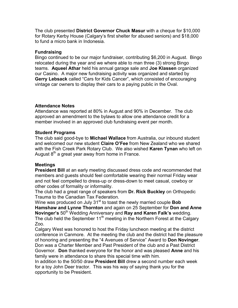The club presented **District Governor Chuck Masur** with a cheque for \$10,000 for Rotary Kerby House (Calgary's first shelter for abused seniors) and \$18,000 to fund a micro bank in Indonesia.

### **Fundraising**

Bingo continued to be our major fundraiser, contributing \$6,200 in August. Bingo relocated during the year and we where able to man three (3) strong Bingo teams. **Aqueel Athar** held his annual garage sale and **Joe Klassen** organized our Casino. A major new fundraising activity was organized and started by **Gerry Lebsack** called "Cars for Kids Cancer", which consisted of encouraging vintage car owners to display their cars to a paying public in the Oval.

# **Attendance Notes**

Attendance was reported at 80% in August and 90% in December. The club approved an amendment to the bylaws to allow one attendance credit for a member involved in an approved club fundraising event per month.

# **Student Programs**

The club said good-bye to **Michael Wallace** from Australia, our inbound student and welcomed our new student **Claire O'Fee** from New Zealand who we shared with the Fish Creek Park Rotary Club. We also wished **Karen Tynan** who left on August  $8<sup>th</sup>$  a great year away from home in France.

# **Meetings**

**President Bill** at an early meeting discussed dress code and recommended that members and guests should feel comfortable wearing their normal Friday wear and not feel compelled to dress-up or dress-down to meet casual, cowboy or other codes of formality or informality.

The club had a great range of speakers from **Dr. Rick Buckley** on Orthopedic Trauma to the Canadian Tax Federation.

Wine was produced on July 31<sup>st</sup> to toast the newly married couple **Bob Hamshaw and Lynne Thornton** and again on 25 September for **Don and Anne Novinger's** 50<sup>th</sup> Wedding Anniversary and **Ray and Karen Falk's** wedding. The club held the September  $11<sup>th</sup>$  meeting in the Northern Forest at the Calgary Zoo.

Calgary West was honored to host the Friday luncheon meeting at the district conference in Canmore. At the meeting the club and the district had the pleasure of honoring and presenting the "4 Avenues of Service" Award to **Don Novinger**. Don was a Charter Member and Past President of the club and a Past District Governor. **Don** thanked everyone for the honor and was pleased **Anne** and his family were in attendance to share this special time with him.

In addition to the 50/50 draw **President Bill** drew a second number each week for a toy John Deer tractor. This was his way of saying thank you for the opportunity to be President.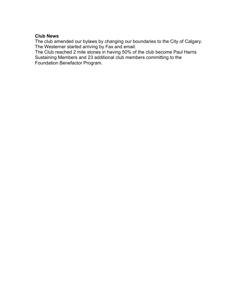### **Club News**

The club amended our bylaws by changing our boundaries to the City of Calgary. The Westerner started arriving by Fax and email.

The Club reached 2 mile stones in having 50% of the club become Paul Harris Sustaining Members and 23 additional club members committing to the Foundation Benefactor Program.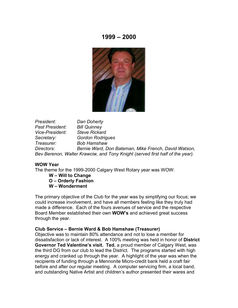

*President: Dan Doherty Past President: Bill Quinney Vice-President: Steve Rickard Secretary: Gordon Rodrigues Treasurer: Bob Hamshaw Directors: Bernie Ward, Don Bateman, Mike French, David Watson, Bev Berenon, Walter Krawciw, and Tony Knight (served first half of the year).*

#### **WOW Year**

The theme for the 1999-2000 Calgary West Rotary year was WOW:

- **W Will to Change**
- **O Orderly Fashion**
- **W Wonderment**

The primary objective of the Club for the year was by simplifying our focus; we could increase involvement, and have all members feeling like they truly had made a difference. Each of the fours avenues of service and the respective Board Member established their own **WOW's** and achieved great success through the year.

#### **Club Service – Bernie Ward & Bob Hamshaw (Treasurer)**

Objective was to maintain 80% attendance and not to lose a member for dissatisfaction or lack of interest. A 100% meeting was held in honor of **District Governor Ted Valentine's visit. Ted**, a proud member of Calgary West, was the third DG from our club to lead the District. The programs started with high energy and cranked up through the year. A highlight of the year was when the recipients of funding through a Mennonite Micro-credit bank held a craft fair before and after our regular meeting. A computer servicing firm, a local band, and outstanding Native Artist and children's author presented their wares and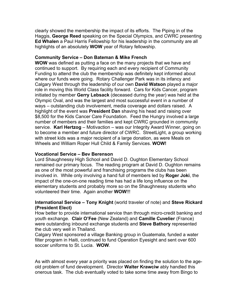clearly showed the membership the impact of its efforts. The Piping in of the Haggis, **George Reed** speaking on the Special Olympics, and CWRC presenting **Ed Whalen** a Paul Harris Fellowship for his leadership in the community are all highlights of an absolutely **WOW** year of Rotary fellowship.

# **Community Service – Don Bateman & Mike French**

**WOW** was defined as putting a face on the many projects that we have and continued to support. By requiring each and every recipient of Community Funding to attend the club the membership was definitely kept informed about where our funds were going. Rotary Challenger Park was in its infancy and Calgary West through the leadership of our own **David Watson** played a major role in moving this World Class facility forward. Cars for Kids Cancer, program initiated by member **Gerry Lebsack** (deceased during the year) was held at the Olympic Oval, and was the largest and most successful event in a number of ways – outstanding club involvement, media coverage and dollars raised. A highlight of the event was **President Dan** shaving his head and raising over \$8,500 for the Kids Cancer Care Foundation. Feed the Hungry involved a large number of members and their families and kept CWRC grounded in community service. **Karl Hertzog** – Motivaction – was our Integrity Award Winner, going on to become a member and future director of CWRC. StreetLight, a group working with street kids was a major recipient of a large donation, as were Meals on Wheels and William Roper Hull Child & Family Services. **WOW!**

### **Vocational Service – Bev Berenson**

Lord Shaughnessy High School and David D. Oughton Elementary School remained our primary focus. The reading program at David D. Oughton remains as one of the most powerful and franchising programs the clubs has been involved in. While only involving a hand full of members led by **Roger Joki**, the impact of the one-on-one reading time has had a life long influence on the elementary students and probably more so on the Shaughnessy students who volunteered their time. Again another **WOW**!!!

# **International Service – Tony Knight** (world traveler of note) and **Steve Rickard (President Elect)**

How better to provide international service than through micro-credit banking and youth exchange. **Clair O'Fee** (New Zealand) and **Camille Cuvelier** (France) were outstanding inbound exchange students and **Steve Bathory** represented the club very well in Thailand.

Calgary West sponsored a village Banking group in Guatemala, funded a water filter program in Haiti, continued to fund Operation Eyesight and sent over 600 soccer uniforms to St. Lucia. **WOW**.

As with almost every year a priority was placed on finding the solution to the ageold problem of fund development. Director **Walter Krawciw** ably handled this onerous task. The club eventually voted to take some time away from Bingo to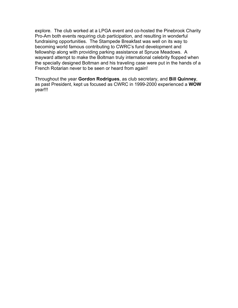explore. The club worked at a LPGA event and co-hosted the Pinebrook Charity Pro-Am both events requiring club participation, and resulting in wonderful fundraising opportunities. The Stampede Breakfast was well on its way to becoming world famous contributing to CWRC's fund development and fellowship along with providing parking assistance at Spruce Meadows. A wayward attempt to make the Boltman truly international celebrity flopped when the specially designed Boltman and his traveling case were put in the hands of a French Rotarian never to be seen or heard from again!

Throughout the year **Gordon Rodrigues**, as club secretary, and **Bill Quinney**, as past President, kept us focused as CWRC in 1999-2000 experienced a **WOW** year!!!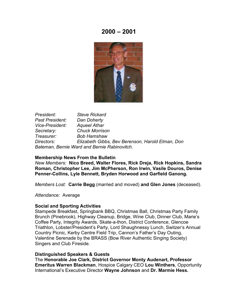

*President: Steve Rickard Past President: Dan Doherty Vice-President: Aqueel Athar Secretary: Chuck Morrison Treasurer: Bob Hamshaw Directors: Elizabeth Gibbs, Bev Berenson, Harold Elman, Don Bateman, Bernie Ward and Bernie Rabinovitch.*

#### **Membership News From the Bulletin**

*New Members:* **Nico Breed, Walter Flores, Rick Dreja, Rick Hopkins, Sandra Roman, Christopher Lee, Jim McPherson, Ron Irwin, Vasile Douros, Denise Penner-Collins, Lyle Bennett, Bryden Horwood and Garfield Ganong.**

*Members Lost:* **Carrie Begg** (married and moved) **and Glen Jones** (deceased).

*Attendance:* Average

#### **Social and Sporting Activities**

Stampede Breakfast, Springbank BBQ, Christmas Ball, Christmas Party Family Brunch (Pinebrook), Highway Cleanup, Bridge, Wine Club, Dinner Club, Marie's Coffee Party, Integrity Awards, Skate-a-thon, District Conference, Glencoe Triathlon, Lobster/President's Party, Lord Shaughnessy Lunch, Switzer's Annual Country Picnic, Kerby Centre Field Trip, Cannon's Father's Day Outing, Valentine Serenade by the BRASS (Bow River Authentic Singing Society) Singers and Club Fireside.

#### **Distinguished Speakers & Guests**

The **Honorable Joe Clark, District Governor Monty Audenart, Professor Emeritus Warren Blackman**, Hospice Calgary CEO **Lou Winthers**, Opportunity International's Executive Director **Wayne Johnson** and **Dr. Marmie Hess.**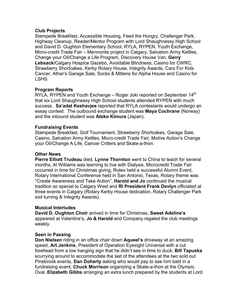### **Club Projects**

Stampede Breakfast, Accessible Housing, Feed the Hungry, Challenger Park, Highway Cleanup, Reader/Mentor Program with Lord Shaughnessy High School and David D. Oughton Elementary School, RYLA, RYPEN, Youth Exchange, Micro-credit Trade Fair – Mennonite project in Calgary, Salvation Army Kettles, Change your Oil/Change a Life Program, Discovery House Van, **Gerry Lebsack**/Calgary Hospice Gazebo, Avoidable Blindness, Casino for CWRC, Strawberry Shortcakes, Kerby Rotary House, Integrity Awards, Cars For Kids Cancer, Athar's Garage Sale, Socks & Mittens for Alpha House and Casino for LSHS.

# **Program Reports**

RYLA, RYPEN and Youth Exchange – Roger Joki reported on September 14<sup>th</sup> that six Lord Shaughnessy High School students attended RYPEN with much success. **Sa'adat Keshavjee** reported that RYLA contestants would undergo an essay contest. The outbound exchange student was **Maya Cochrane** (Norway) and the inbound student was **Atsko Kimura** (Japan).

# **Fundraising Events**

Stampede Breakfast, Golf Tournament, Strawberry Shortcakes, Garage Sale, Casino, Salvation Army Kettles, Micro-credit Trade Fair, Motive Action's Change your Oil/Change A Life, Cancer Critters and Skate-a-thon.

# **Other News**

**Pierre Elliott Trudeau** died, **Lynne Thornton** went to China to teach for several months, Al Williams was learning to live with Dialysis, Microcredit Trade Fair occurred in time for Christmas giving, Rotex held a successful Alumni Event, Rotary International Conference held in San Antonio, Texas, Rotary theme was "Create Awareness and Take Action", **Harold and Jo** continued the musical tradition so special to Calgary West and **RI President Frank Devlyn** officiated at three events in Calgary (Rotary Kerby House dedication, Rotary Challenger Park sod turning & Integrity Awards).

### **Musical Interludes**

**David D. Oughton Choir** arrived in time for Christmas, **Sweet Adeline's** appeared at Valentine's, **Jo & Harold** and Company regaled the club meetings weekly.

### **Seen in Passing**

**Don Nielsen** riding in an office chair down **Aqueel's** driveway at an amazing speed, **Art Jenkins**, President of Operation Eyesight Universal with a cut forehead from a low hanging sign that he didn't see in time to duck, **Bill Tapuska** scurrying around to accommodate the last of the attendees at the two sold out Pinebrook events, **Dan Doherty** asking who would pay to see him bald in a fundraising event, **Chuck Morrison** organizing a Skate-a-thon at the Olympic Oval, **Elizabeth Gibbs** arranging an extra lunch prepared by the students at Lord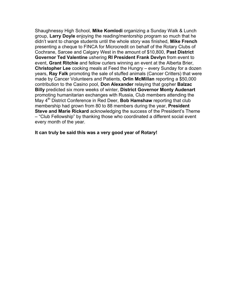Shaughnessy High School, **Mike Komlodi** organizing a Sunday Walk & Lunch group, **Larry Doyle** enjoying the reading/mentorship program so much that he didn't want to change students until the whole story was finished, **Mike French** presenting a cheque to FINCA for Microcredit on behalf of the Rotary Clubs of Cochrane, Sarcee and Calgary West in the amount of \$10,800, **Past District Governor Ted Valentine** ushering **RI President Frank Devlyn** from event to event, **Grant Ritchie** and fellow curlers winning an event at the Alberta Brier, **Christopher Lee** cooking meals at Feed the Hungry – every Sunday for a dozen years, **Ray Falk** promoting the sale of stuffed animals (Cancer Critters) that were made by Cancer Volunteers and Patients, **Orlin McMillan** reporting a \$50,000 contribution to the Casino pool, **Don Alexander** relaying that gopher **Balzac Billy** predicted six more weeks of winter, **District Governor Monty Audenart** promoting humanitarian exchanges with Russia, Club members attending the May 4<sup>th</sup> District Conference in Red Deer, **Bob Hamshaw** reporting that club membership had grown from 80 to 88 members during the year, **President Steve and Marie Rickard** acknowledging the success of the President's Theme – "Club Fellowship" by thanking those who coordinated a different social event every month of the year.

#### **It can truly be said this was a very good year of Rotary!**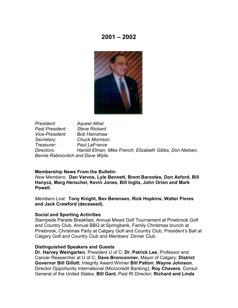

*President: Aqueel Athar Past President: Steve Rickard Vice-President: Bob Hamshaw Secretary: Chuck Morrison Treasurer: Paul LaFrance Directors: Harold Elman, Mike French, Elizabeth Gibbs, Don Nielsen, Bernie Rabinovitch and Dave Wylie.*

#### **Membership News From the Bulletin**

*New Members:* **Dan Varvos, Lyle Bennett, Brent Barootes, Don Axford, Bill Hanycz, Marg Henschel, Kevin Jones, Bill Inglis, John Orion and Mark Powell.**

*Members Lost:* **Tony Knight, Bev Berensen, Rick Hopkins, Walter Flores and Jack Crawford (deceased).**

#### **Social and Sporting Activities**

Stampede Parade Breakfast, Annual Mixed Golf Tournament at Pinebrook Golf and Country Club, Annual BBQ at Springbank, Family Christmas brunch at Pinebrook, Christmas Party at Calgary Golf and Country Club, President's Ball at Calgary Golf and Country Club and Members' Dinner Club.

#### **Distinguished Speakers and Guests**

**Dr. Harvey Weingarten**, President U of C; **Dr. Patrick Lee**, Professor and Cancer Researcher at U of C; **Dave Bronconnier,** Mayor of Calgary; **District Governor Bill Gillott**; Integrity Award Winner **Bill Patton**; **Wayne Johnson**, Director Opportunity International (Microcredit Banking); **Roy Chavera**, Consul General of the United States; **Bill Gant**, Past RI Director; **Richard and Linda**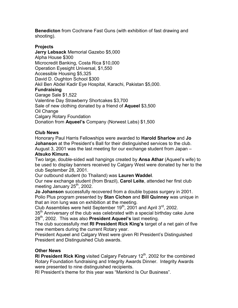**Benedicton** from Cochrane Fast Guns (with exhibition of fast drawing and shooting).

# **Projects**

**Jerry Lebsack** Memorial Gazebo \$5,000 Alpha House \$300 Microcredit Banking, Costa Rica \$10,000 Operation Eyesight Universal, \$1,550 Accessible Housing \$5,325 David D. Oughton School \$300 Akil Ben Abdel Kadir Eye Hospital, Karachi, Pakistan \$5,000. **Fundraising** Garage Sale \$1,522 Valentine Day Strawberry Shortcakes \$3,700 Sale of new clothing donated by a friend of **Aqueel** \$3,500 Oil Change Calgary Rotary Foundation Donation from **Aqueel's** Company (Norwest Labs) \$1,500

# **Club News**

Honorary Paul Harris Fellowships were awarded to **Harold Sharlow** and **Jo Johanson** at the President's Ball for their distinguished services to the club. August 3, 2001 was the last meeting for our exchange student from Japan – **Atsuko Kimura.**

Two large, double-sided wall hangings created by **Ansa Athar** (Aqueel's wife) to be used to display banners received by Calgary West were donated by her to the club September 28, 2001.

Our outbound student (to Thailand) was **Lauren Waddel**.

Our new exchange student (from Brazil), **Carol Leite**, attended her first club meeting January 25<sup>th</sup>, 2002.

**Jo Johanson** successfully recovered from a double bypass surgery in 2001. Polio Plus program presented by **Stan Cichon** and **Bill Quinney** was unique in that an iron lung was on exhibition at the meeting.

Club Assemblies were held September  $19<sup>th</sup>$ , 2001 and April  $3<sup>rd</sup>$ , 2002.

 $35<sup>th</sup>$  Anniversary of the club was celebrated with a special birthday cake June 28th, 2002. This was also **President Aqueel's** last meeting.

The club successfully met **RI President Rick King's** target of a net gain of five new members during the current Rotary year.

President Aqueel and Calgary West were given RI President's Distinguished President and Distinguished Club awards.

### **Other News**

**RI President Rick King** visited Calgary February 12<sup>th</sup>, 2002 for the combined Rotary Foundation fundraising and Integrity Awards Dinner. Integrity Awards were presented to nine distinguished recipients.

RI President's theme for this year was "Mankind Is Our Business".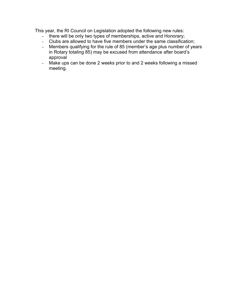This year, the RI Council on Legislation adopted the following new rules:

- there will be only two types of memberships, active and Honorary;
- Clubs are allowed to have five members under the same classification;
- Members qualifying for the rule of 85 (member's age plus number of years in Rotary totaling 85) may be excused from attendance after board's approval
- Make ups can be done 2 weeks prior to and 2 weeks following a missed meeting.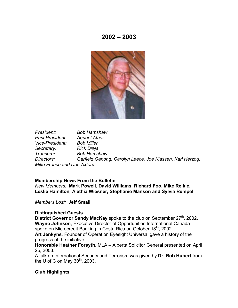

*President: Bob Hamshaw Past President: Aqueel Athar Vice-President: Bob Miller Secretary: Rick Dreja Treasurer: Bob Hamshaw Directors: Garfield Ganong, Carolyn Leece, Joe Klassen, Karl Herzog, Mike French and Don Axford.*

#### **Membership News From the Bulletin**

*New Members:* **Mark Powell, David Williams, Richard Foo, Mike Reikie, Leslie Hamilton, Alethia Wiesner, Stephanie Manson and Sylvia Rempel**

*Members Lost:* **Jeff Small**

### **Distinguished Guests**

**District Governor Sandy MacKay** spoke to the club on September 27<sup>th</sup>, 2002. **Wayne Johnson**, Executive Director of Opportunities International Canada spoke on Microcredit Banking in Costa Rica on October 18<sup>th</sup>, 2002.

**Art Jenkyns**, Founder of Operation Eyesight Universal gave a history of the progress of the initiative.

**Honorable Heather Forsyth**, MLA – Alberta Solicitor General presented on April 25, 2003.

A talk on International Security and Terrorism was given by **Dr. Rob Hubert** from the U of C on May  $30<sup>th</sup>$ , 2003.

### **Club Highlights**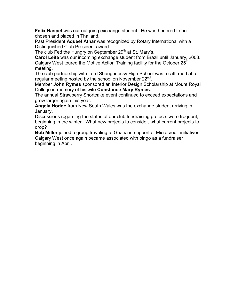**Felix Haspel** was our outgoing exchange student. He was honored to be chosen and placed in Thailand.

Past President **Aqueel Athar** was recognized by Rotary International with a Distinguished Club President award.

The club Fed the Hungry on September 29<sup>th</sup> at St. Mary's.

**Carol Leite** was our incoming exchange student from Brazil until January, 2003. Calgary West toured the Motive Action Training facility for the October 25<sup>th</sup> meeting.

The club partnership with Lord Shaughnessy High School was re-affirmed at a regular meeting hosted by the school on November 22<sup>nd</sup>.

Member **John Rymes** sponsored an Interior Design Scholarship at Mount Royal College in memory of his wife **Constance Mary Rymes**.

The annual Strawberry Shortcake event continued to exceed expectations and grew larger again this year.

**Angela Hodge** from New South Wales was the exchange student arriving in January.

Discussions regarding the status of our club fundraising projects were frequent, beginning in the winter. What new projects to consider, what current projects to drop?

**Bob Miller** joined a group traveling to Ghana in support of Microcredit initiatives. Calgary West once again became associated with bingo as a fundraiser beginning in April.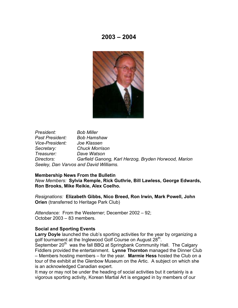

*President: Bob Miller Past President: Bob Hamshaw Vice-President: Joe Klassen Secretary: Chuck Morrison Treasurer: Dave Watson Directors: Garfield Ganong, Karl Herzog, Bryden Horwood, Marion Seeley, Dan Varvos and David Williams.*

#### **Membership News From the Bulletin**

*New Members:* **Sylvia Remple, Rick Guthrie, Bill Lawless, George Edwards, Ron Brooks, Mike Reikie, Alex Coelho.**

*Resignations:* **Elizabeth Gibbs, Nico Breed, Ron Irwin, Mark Powell, John Orien** (transferred to Heritage Park Club)

*Attendance:* From the Westerner; December 2002 – 92; October 2003 – 83 members.

#### **Social and Sporting Events**

Larry Doyle launched the club's sporting activities for the year by organizing a golf tournament at the Inglewood Golf Course on August 28<sup>th</sup>.

September 20<sup>th</sup> was the fall BBQ at Springbank Community Hall. The Calgary Fiddlers provided the entertainment. **Lynne Thornton** managed the Dinner Club – Members hosting members – for the year. **Marmie Hess** hosted the Club on a tour of the exhibit at the Glenbow Museum on the Artic. A subject on which she is an acknowledged Canadian expert.

It may or may not be under the heading of social activities but it certainly is a vigorous sporting activity, Korean Martial Art is engaged in by members of our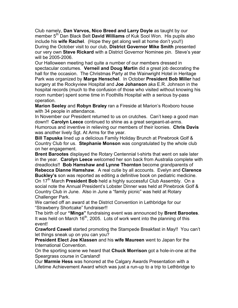Club namely, **Dan Varvos, Nico Breed and Larry Doyle** as taught by our member 5<sup>th</sup> Dan Black Belt **David Williams** of Kuk Sool Won. His pupils also include his **wife Rachel**. (Hope they get along well at home don't you!!) During the October visit to our club, **District Governor Mike Smith** presented our very own **Steve Rickard** with a District Governor Nominee pin. Steve's year will be 2005-2006.

Our Halloween meeting had quite a number of our members dressed in spectacular costumes. **Verneil and Doug Martin** did a great job decorating the hall for the occasion. The Christmas Party at the Wainwright Hotel in Heritage Park was organized by **Marge Henschel**. In October **President Bob Miller** had surgery at the Rockyview Hospital and **Joe Johanson** aka E.R. Johnson in the hospital records (much to the confusion of those who visited without knowing his room number) spent some time in Foothills Hospital with a serious by-pass operation.

**Marion Seeley** and **Robyn Braley** ran a Fireside at Marion's Roxboro house with 34 people in attendance.

In November our President returned to us on crutches. Can't keep a good man down!! **Carolyn Leece** continued to shine as a great sergeant-at-arms. Humorous and inventive in relieving our members of their loonies. **Chris Davis** was another lively Sgt. At Arms for the year.

**Bill Tapuska** lined up a delicious Family Holiday Brunch at Pinebrook Golf & Country Club for us. **Stephanie Monson** was congratulated by the whole club on her engagement.

**Brent Barootes** displayed the Rotary Centennial t-shirts that went on sale later in the year. **Carolyn Leece** welcomed her son back from Australia complete with dreadlocks!! **Bob Hamshaw and Lynne Thornton** become grandparents of **Rebecca Dianne Hamshaw**. A real cutie by all accounts. Evelyn and **Clarence Buckley's** son was reported as editing a definitive book on pediatric medicine. On 17<sup>th</sup> March **President Bob** held a highly successful Club Assembly. On a social note the Annual President's Lobster Dinner was held at Pinebrook Golf & Country Club in June. Also in June a "family picnic" was held at Rotary Challenger Park.

We carried off an award at the District Convention in Lethbridge for our "Strawberry Shortcake" fundraiser!!

The birth of our **"Minga"** fundraising event was announced by **Brent Barootes**. It was held on March  $16<sup>th</sup>$ , 2005. Lots of work went into the planning of this event!

**Crawford Cawell** started promoting the Stampede Breakfast in May!! You can't let things sneak up on you can you?

**President Elect Joe Klassen** and his **wife Maureen** went to Japan for the International Convention.

On the sporting scene we heard that **Chuck Morrison** got a hole-in-one at the Speargrass course in Carsland!

Our **Marmie Hess** was honored at the Calgary Awards Presentation with a Lifetime Achievement Award which was just a run-up to a trip to Lethbridge to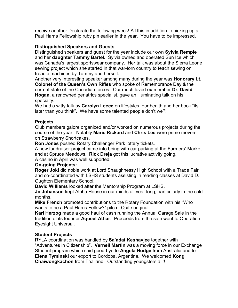receive another Doctorate the following week! All this in addition to picking up a Paul Harris Fellowship ruby pin earlier in the year. You have to be impressed.

# **Distinguished Speakers and Guests**

Distinguished speakers and guest for the year include our own **Sylvia Remple** and her **daughter Tammy Bartel.** Sylvia owned and operated Sun Ice which was Canada's largest sportswear company. Her talk was about the Sierra Leone sewing project which she started in that war-torn country to teach sewing on treadle machines by Tammy and herself.

Another very interesting speaker among many during the year was **Honorary Lt. Colonel of the Queen's Own Rifles** who spoke of Remembrance Day & the current state of the Canadian forces. Our much loved ex-member **Dr. David Hogan**, a renowned geriatrics specialist, gave an illuminating talk on his specialty.

We had a witty talk by **Carolyn Leece** on lifestyles, our health and her book "its later than you think". We have some talented people don't we?!

# **Projects**

Club members galore organized and/or worked on numerous projects during the course of the year. Notably **Marie Rickard** and **Chris Lee** were prime movers on Strawberry Shortcakes.

**Ron Jones** pushed Rotary Challenger Park lottery tickets.

A new fundraiser project came into being with car parking at the Farmers' Market and at Spruce Meadows. **Rick Dreja** got this lucrative activity going.

A casino in April was well supported.

# **On-going Projects:**

**Roger Joki** did noble work at Lord Shaughnessy High School with a Trade Fair and co-coordinated with LSHS students assisting in reading classes at David D. Oughton Elementary School.

**David Williams** looked after the Mentorship Program at LSHS.

**Jo Johanson** kept Alpha House in our minds all year long, particularly in the cold months.

**Mike French** promoted contributions to the Rotary Foundation with his "Who wants to be a Paul Harris Fellow?" pitch. Quite original!

**Karl Herzog** made a good haul of cash running the Annual Garage Sale in the tradition of its founder **Aqueel Athar**. Proceeds from the sale went to Operation Eyesight Universal.

# **Student Projects**

RYLA coordination was handled by **Sa'adat Keshavjee** together with "Adventures in Citizenship". **Verneil Martin** was a moving force in our Exchange Student program which said good-bye to **Angela Hodge** from Australia and to **Elena Tyminski** our export to Cordoba, Argentina. We welcomed **Kong Chaiwongkachon** from Thailand. Outstanding youngsters all!!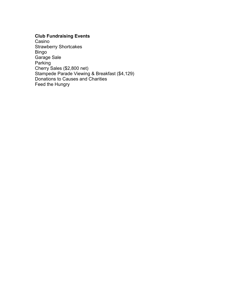# **Club Fundraising Events**

Casino Strawberry Shortcakes Bingo Garage Sale Parking Cherry Sales (\$2,800 net) Stampede Parade Viewing & Breakfast (\$4,129) Donations to Causes and Charities Feed the Hungry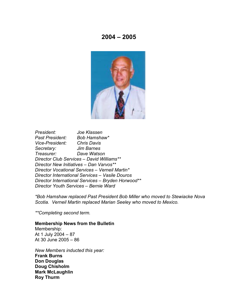

*President: Joe Klassen Past President: Bob Hamshaw\* Vice-President: Chris Davis Secretary: Jim Barnes Treasurer: Dave Watson Director Club Services – David Williams\*\* Director New Initiatives – Dan Varvos\*\* Director Vocational Services – Verneil Martin\* Director International Services – Vasile Douros Director International Services – Bryden Horwood\*\* Director Youth Services – Bernie Ward*

*\*Bob Hamshaw replaced Past President Bob Miller who moved to Stewiacke Nova Scotia. Verneil Martin replaced Marian Seeley who moved to Mexico.*

*\*\*Completing second term.*

#### **Membership News from the Bulletin**

Membership: At 1 July 2004 – 87 At 30 June 2005 – 86

*New Members inducted this year:* **Frank Burns Don Douglas Doug Chisholm Mark McLaughlin Roy Thurm**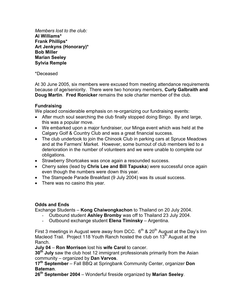*Members lost to the club:* **Al Williams\* Frank Phillips\* Art Jenkyns (Honorary)\* Bob Miller Marian Seeley Sylvia Remple**

### \*Deceased

At 30 June 2005, six members were excused from meeting attendance requirements because of age/seniority. There were two honorary members, **Curly Galbraith and Doug Martin**. **Fred Ronicker** remains the sole charter member of the club.

# **Fundraising**

We placed considerable emphasis on re-organizing our fundraising events:

- After much soul searching the club finally stopped doing Bingo. By and large, this was a popular move.
- We embarked upon a major fundraiser, our Minga event which was held at the Calgary Golf & Country Club and was a great financial success.
- The club undertook to join the Chinook Club in parking cars at Spruce Meadows and at the Farmers' Market. However, some burnout of club members led to a deterioration in the number of volunteers and we were unable to complete our obligations.
- Strawberry Shortcakes was once again a resounded success.
- Cherry sales (lead by **Chris Lee and Bill Tapuska**) were successful once again even though the numbers were down this year.
- The Stampede Parade Breakfast (9 July 2004) was its usual success.
- There was no casino this year.

### **Odds and Ends**

Exchange Students – **Kong Chaiwongkachon** to Thailand on 20 July 2004.

- Outbound student **Ashley Bromby** was off to Thailand 23 July 2004.
- Outbound exchange student **Elena Timinsky** Argentina.

First 3 meetings in August were away from DCC.  $6<sup>th</sup>$  & 20<sup>th</sup> August at the Day's Inn Macleod Trail. Project 118 Youth Ranch hosted the club on  $13<sup>th</sup>$  August at the Ranch.

**July 04** – **Ron Morrison** lost his **wife Carol** to cancer.

**30th July** saw the club host 12 immigrant professionals primarily from the Asian community – organized by **Dan Varvos**.

**17th September** – Fall BBQ at Springbank Community Center, organizer **Don Bateman**.

**26th September 2004** – Wonderful fireside organized by **Marian Seeley**.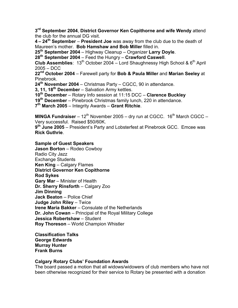**3rd September 2004**, **District Governor Ken Copithorne and wife Wendy** attend the club for the annual DG visit.

**4 – 24th September** – **President Joe** was away from the club due to the death of Maureen's mother. **Bob Hamshaw and Bob Miller** filled in.

**25th September 2004** – Highway Cleanup – Organizer **Larry Doyle**.

**28th September 2004** – Feed the Hungry – **Crawford Caswell**.

**Club Assemblies**: 13<sup>th</sup> October 2004 – Lord Shaughnessy High School & 6<sup>th</sup> April 2005 – DCC

**22nd October 2004** – Farewell party for **Bob & Paula Miller** and **Marian Seeley** at Pinebrook.

**24th November 2004** – Christmas Party – CGCC, 90 in attendance.

**3, 11, 18th December** – Salvation Army kettles.

**10th December** – Rotary Info session at 11:15 DCC – **Clarence Buckley**

**19th December** – Pinebrook Christmas family lunch, 220 in attendance.

**7th March 2005** – Integrity Awards – **Grant Ritchie**.

**MINGA Fundraiser** – 12<sup>th</sup> November 2005 – dry run at CGCC. 16<sup>th</sup> March CGCC – Very successful. Raised \$50/60K.

**9th June 2005** – President's Party and Lobsterfest at Pinebrook GCC. Emcee was **Rick Guthrie**.

### **Sample of Guest Speakers**

**Jason Borton** – Rodeo Cowboy Radio City Jazz Exchange Students **Ken King** – Calgary Flames **District Governor Ken Copithorne Rod Sykes Gary Mar** – Minister of Health **Dr. Sherry Rinsforth** – Calgary Zoo **Jim Dinning Jack Beaton** – Police Chief **Judge John Riley** – Twice **Irene Maria Bakker** – Consulate of the Netherlands **Dr. John Cowan** – Principal of the Royal Military College **Jessica Robertshaw** – Student **Roy Thoreson** – World Champion Whistler

**Classification Talks George Edwards Murray Hunter Frank Burns**

### **Calgary Rotary Clubs' Foundation Awards**

The board passed a motion that all widows/widowers of club members who have not been otherwise recognized for their service to Rotary be presented with a donation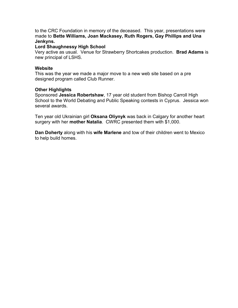to the CRC Foundation in memory of the deceased. This year, presentations were made to **Bette Williams, Joan Mackasey, Ruth Rogers, Gay Phillips and Una Jenkyns.**

### **Lord Shaughnessy High School**

Very active as usual. Venue for Strawberry Shortcakes production. **Brad Adams** is new principal of LSHS.

#### **Website**

This was the year we made a major move to a new web site based on a pre designed program called Club Runner.

#### **Other Highlights**

Sponsored **Jessica Robertshaw**, 17 year old student from Bishop Carroll High School to the World Debating and Public Speaking contests in Cyprus. Jessica won several awards.

Ten year old Ukrainian girl **Oksana Oliynyk** was back in Calgary for another heart surgery with her **mother Natalia**. CWRC presented them with \$1,000.

**Dan Doherty** along with his **wife Marlene** and tow of their children went to Mexico to help build homes.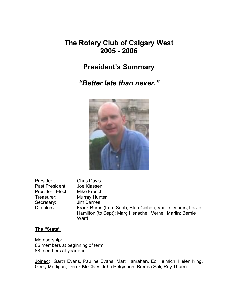# **The Rotary Club of Calgary West 2005 - 2006**

# **President's Summary**

*"Better late than never."*



| President:              | <b>Chris Davis</b>                                                                                                       |
|-------------------------|--------------------------------------------------------------------------------------------------------------------------|
| Past President:         | Joe Klassen                                                                                                              |
| <b>President Elect:</b> | Mike French                                                                                                              |
| Treasurer:              | Murray Hunter                                                                                                            |
| Secretary:              | Jim Barnes                                                                                                               |
| Directors:              | Frank Burns (from Sept); Stan Cichon; Vasile Douros; Leslie<br>Hamilton (to Sept); Marg Henschel; Verneil Martin; Bernie |
|                         | Ward                                                                                                                     |

**The "Stats"**

Membership: 85 members at beginning of term 88 members at year end

Joined: Garth Evans, Pauline Evans, Matt Hanrahan, Ed Helmich, Helen King, Gerry Madigan, Derek McClary, John Petryshen, Brenda Sali, Roy Thurm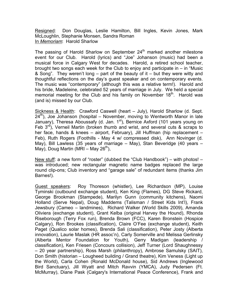Resigned: Don Douglas, Leslie Hamilton, Bill Ingles, Kevin Jones, Mark McLoughlin, Stephanie Monsen, Sandra Roman In *Memoriam*: Harold Sharlow

The passing of Harold Sharlow on September  $24<sup>th</sup>$  marked another milestone event for our Club. Harold (lyrics) and "Joe" Johanson (music) had been a musical force in Calgary West for decades. Harold, a retired school teacher, brought two songs each week for the Club to enjoy and participate in – in "Music & Song". They weren't long  $-$  part of the beauty of it  $-$  but they were witty and thoughtful reflections on the day's guest speaker and on contemporary events. The music was "contemporary" (although this was a relative term!). Harold and his bride, Madeleine, celebrated 52 years of marriage in July. We held a special memorial meeting for the Club and his family on November 18<sup>th</sup>. Harold was (and is) missed by our Club.

Sickness & Health: Crawford Caswell (heart – July), Harold Sharlow (d. Sept.  $24<sup>th</sup>$ ), Joe Johanson (hospital – November, moving to Wentworth Manor in late January), Theresa Aboussafy (d. Jan.  $1<sup>st</sup>$ ), Bernice Axford (101 years young on Feb  $3<sup>rd</sup>$ ), Verneil Martin (broken thumb and wrist, and several cuts & scraps to her face, hands & knees – airport, February), Jill Huffman (hip replacement – Feb), Ruth Rogers (Foothills - May 4 w/ compressed disk), Ann Novinger (d. May), Bill Lawless (35 years of marriage – May), Stan Beveridge (40 years – May), Doug Martin (MRI – May 26<sup>th</sup>),

New stuff: a new form of "roster" (dubbed the "Club Handbook") – with photos! – was introduced; new rectangular magnetic name badges replaced the large round clip-ons; Club inventory and "garage sale" of redundant items (thanks Jim Barnes!).

Guest speakers: Roy Thoreson (whistler), Lee Richardson (MP), Louise Tyminski (outbound exchange student), Ken King (Flames), DG Steve Rickard, George Brookman (Stampede), Marilyn Gunn (community kitchens), Naomi Holland (Serve Nepal), Doug Maddems (Talisman / Street Kids Int'l), Frank Jewsbury (Cameo – landmines), Richard Walker (World Skills 2009), Amanda Oliviera (exchange student), Grant Kelba (original Harvey the Hound), Rhonda Riseborough (Terry Fox run), Brenda Brown (FCC), Karen Bronstein (Hospice Calgary), Ron Brookes (classification), Claire O'Fee (exchange student), Keith Paget (Qualico solar homes), Brenda Sali (classification), Peter Josty (Alberta innovation), Laurie Maslak (HR assoc'n), Carly Somerville and Melissa Gerlinsky (Alberta Mentor Foundation for Youth), Gerry Madigan (leadership / classification), Ken Friesen (Concours collision), Jeff Turner (Lord Shaughnessy – 20 year partnership), Ross Marsh (philanthropy), Ambrose Samulsky (SAIT), Don Smith (historian – Lougheed building / Grand theatre), Kim Veness (Light up the World), Carla Cohen (Ronald McDonald house), Sid Andrews (Inglewood Bird Sanctuary), Jill Wyatt and Mitch Ravvin (YMCA), Judy Pedersen (Ft. McMurray), Diane Pask (Calgary's International Peace Conference), Frank and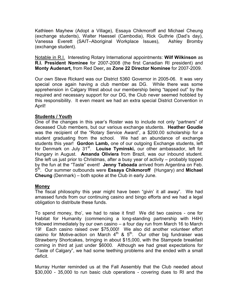Kathleen Mayhew (Adopt a Village), Essaya Chikmoroff and Michael Cheung (exchange students), Walter Haessel (Cambodia), Rick Guthrie (Dad's day), Vanessa Everett (SAIT–Aboriginal Workplace Issues), Ashley Bromby (exchange student).

Notable in R.I. Interesting Rotary International appointments: **Wilf Wilkinson** as **R.I. President Nominee** for 2007-2008 (the first Canadian RI president) and **Monty Audenart,** from Red Deer**,** as **Zone 22 Director Nominee** for 2007-2009.

Our own Steve Rickard was our District 5360 Governor in 2005-06. It was very special once again having a club member as DG. While there was some apprehension in Calgary West about our membership being "tapped out" by the required and necessary support for our DG, the Club never seemed hobbled by this responsibility. It even meant we had an extra special District Convention in April!

# **Students / Youth**

One of the changes in this year's Roster was to include not only "partners" of deceased Club members, but our various exchange students. **Heather Goudie**  was the recipient of the "Rotary Service Award", a \$200.00 scholarship for a student graduating from the school. We had an abundance of exchange students this year! **Gordon Lamb,** one of our outgoing Exchange students, left for Denmark on July 31<sup>st</sup>. Louise Tyminski, our other ambassador, left for Hungary in August. **Amanda Oliviera** from Brazil, was our inbound student. She left us just prior to Christmas, after a busy year of activity – probably topped by the fun at the "Taste" event! **Jenny Taboada** arrived from Argentina on Feb. 5th. Our summer outbounds were **Essaya Chikmoroff** (Hungary) and **Michael Cheung** (Denmark) – both spoke at the Club in early June.

### **Money**

The fiscal philosophy this year might have been "givin' it all away". We had amassed funds from our continuing casino and bingo efforts and we had a legal obligation to distribute these funds.

To spend money, tho', we had to raise it first! We did two casinos - one for Habitat for Humanity (commencing a long-standing partnership with H4H) followed immediately by our own casino – a four day run from March 16 to March 19! Each casino raised over \$75,000! We also did another volunteer effort casino for Motive-action on March  $4<sup>th</sup>$  &  $5<sup>th</sup>$ . Our other big fundraiser was Strawberry Shortcakes, bringing in about \$15,000, with the Stampede breakfast coming in third at just under \$6000. Although we had great expectations for "Taste of Calgary", we had some teething problems and the ended with a small deficit.

Murray Hunter reminded us at the Fall Assembly that the Club needed about \$30,000 - 35,000 to run basic club operations - covering dues to RI and the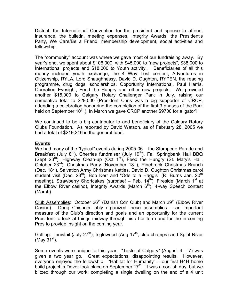District, the International Convention for the president and spouse to attend, insurance, the bulletin, meeting expenses, Integrity Awards, the President's Party, We Care/Be a Friend, membership development, social activities and fellowship.

The "community" account was where we gave most of our fundraising away. By year's end, we spent about \$106,000, with \$45,000 to "new projects", \$38,000 to International projects and \$18,000 to Youth activity. Beneficiaries of all this money included youth exchange, the 4 Way Test contest, Adventures in Citizenship, RYLA, Lord Shaughnessy, David D. Oughton, RYPEN, the reading programme, drug dogs, scholarships, Opportunity International, Paul Harris, Operation Eyesight, Feed the Hungry and other new projects. We provided another \$15,000 to Calgary Rotary Challenger Park in July, raising our cumulative total to \$29,000 (President Chris was a big supporter of CRCP, attending a celebration honouring the completion of the first 3 phases of the Park held on September  $10^{th}$ .) In March we gave CRCP another \$9700 for a 'gator'!

We continued to be a big contributor to and beneficiary of the Calgary Rotary Clubs Foundation. As reported by David Watson, as of February 28, 2005 we had a total of \$219,246 in the general fund.

# **Events**

We had many of the "typical" events during 2005-06 – the Stampede Parade and Breakfast (July  $8<sup>th</sup>$ ), Cherries fundraiser (July 19<sup>th</sup>), Fall Springbank Hall BBQ (Sept  $23^{rd}$ ), Highway Clean-up (Oct  $1^{st}$ ), Feed the Hungry (St. Mary's Hall, October 23<sup>rd</sup>), Christmas Party (November 18<sup>th</sup>), Pinebrook Christmas Brunch (Dec.  $18<sup>th</sup>$ ), Salvation Army Christmas kettles, David D. Oughton Christmas carol student visit (Dec.  $23^{\text{rd}}$ ), Bob Kerr and "Ode to a Haggis" (R. Burns Jan.  $20^{\text{th}}$ meeting), Strawberry Shortcakes (surprise! – Feb.  $14^{\overline{h}}$ ), Fireside (March 1<sup>st</sup> at the Elbow River casino), Integrity Awards (March  $6<sup>th</sup>$ ), 4-way Speech contest (March).

Club Assemblies: October  $26<sup>th</sup>$  (Danish Cdn Club) and March  $29<sup>th</sup>$  (Elbow River Casino). Doug Chisholm ably organized these assemblies – an important measure of the Club's direction and goals and an opportunity for the current President to look at things midway through his / her term and for the in-coming Pres to provide insight on the coming year.

Golfing: Innisfail (July 27<sup>th</sup>), Inglewood (Aug 17<sup>th</sup>, club champs) and Spirit River (May  $31<sup>st</sup>$ ).

Some events were unique to this year. "Taste of Calgary" (August  $4 - 7$ ) was given a two year go. Great expectations, disappointing results. However, everyone enjoyed the fellowship. "Habitat for Humanity" – our first H4H home build project in Dover took place on September  $17<sup>th</sup>$ . It was a coolish day, but we blitzed through our work, completing a single dwelling on the end of a 4 unit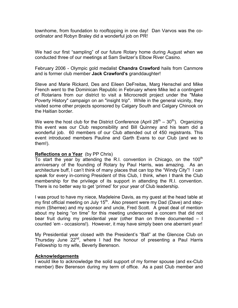townhome, from foundation to rooftopping in one day! Dan Varvos was the coordinator and Robyn Braley did a wonderful job on PR!

We had our first "sampling" of our future Rotary home during August when we conducted three of our meetings at Sam Switzer's Elbow River Casino.

February 2006 - Olympic gold medalist **Chandra Crawford** hails from Canmore and is former club member **Jack Crawford's** granddaughter!

Steve and Marie Rickard, Des and Eileen DeFreitas, Marg Henschel and Mike French went to the Dominican Republic in February where Mike led a contingent of Rotarians from our district to visit a Microcredit project under the "Make Poverty History" campaign on an "insight trip". While in the general vicinity, they visited some other projects sponsored by Calgary South and Calgary Chinook on the Haitian border.

We were the host club for the District Conference (April  $28^{th} - 30^{th}$ ). Organizing this event was our Club responsibility and Bill Quinney and his team did a wonderful job. 60 members of our Club attended out of 450 registrants. This event introduced members Pauline and Garth Evans to our Club (and we to them!).

#### **Reflections on a Year** (by PP Chris)

To start the year by attending the R.I. convention in Chicago, on the  $100<sup>th</sup>$ anniversary of the founding of Rotary by Paul Harris, was amazing. As an architecture buff, I can't think of many places that can top the "Windy City"! I can speak for every in-coming President of this Club, I think, when I thank the Club membership for the privilege of its support in attending the R.I. convention. There is no better way to get 'primed' for your year of Club leadership.

I was proud to have my niece, Madeleine Davis, as my guest at the head table at my first official meeting on July 15<sup>th</sup>. Also present were my Dad (Dave) and stepmom (Sherree) and my sponsor and uncle, Fred Scott. A great deal of mention about my being "on time" for this meeting underscored a concern that did not bear fruit during my presidential year (other than on three documented – I counted 'em - occasions!). However, it may have simply been one aberrant year!

My Presidential year closed with the President's "Ball" at the Glencoe Club on Thursday June  $22^{nd}$ , where I had the honour of presenting a Paul Harris Fellowship to my wife, Beverly Berenson.

#### **Acknowledgements**

I would like to acknowledge the solid support of my former spouse (and ex-Club member) Bev Berenson during my term of office. As a past Club member and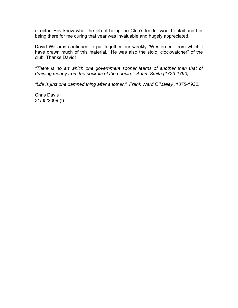director, Bev knew what the job of being the Club's leader would entail and her being there for me during that year was invaluable and hugely appreciated.

David Williams continued to put together our weekly "Westerner", from which I have drawn much of this material. He was also the stoic "clockwatcher" of the club. Thanks David!

*"There is no art which one government sooner learns of another than that of draining money from the pockets of the people." Adam Smith (1723-1790)*

*"Life is just one damned thing after another." Frank Ward O'Malley (1875-1932)*

Chris Davis 31/05/2009 (!)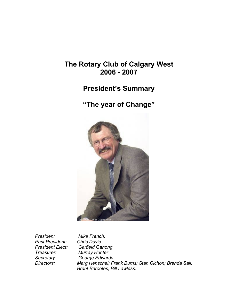# **The Rotary Club of Calgary West 2006 - 2007**

# **President's Summary**

# **"The year of Change"**



*Presiden: Mike French. Past President: Chris Davis.*

**Garfield Ganong.** *Treasurer: Murray Hunter Secretary: George Edwards. Directors: Marg Henschel; Frank Burns; Stan Cichon; Brenda Sali; Brent Barootes; Bill Lawless.*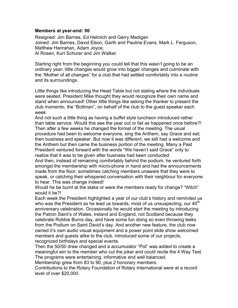#### **Members at year-end: 90**

Resigned: Jim Barnes, Ed Helmich and Gerry Madigan Joined: Jim Barnes, David Elson, Garth and Pauline Evans, Mark L. Ferguson, Matthew Hanrahan, Adam Joyce, Al Rosen, Kurt Schurer and Jim Walker.

Starting right from the beginning you could tell that this wasn't going to be an ordinary year; little changes would grow into bigger changes and culminate with the "Mother of all changes" for a club that had settled comfortably into a routine and its surroundings.

Little things like introducing the Head Table but not stating where the individuals were seated. President Mike thought they would recognize their own name and stand when announced! Other little things like asking the thanker to present the club momento, the "Boltman", on behalf of the club to the guest speaker each week.

And not such a little thing as having a buffet style luncheon introduced rather than table service. Would this see the year out or fail as happened once before?! Then after a few weeks he changed the format of the meeting. The usual procedure had been to welcome everyone, sing the Anthem, say Grace and eat; then business and speaker. But now it was different, we still had a welcome and the Anthem but then came the business portion of the meeting. Many a Past President ventured forward with the words "We haven't said Grace" only to realize that it was to be given after business had been conducted.

And then, instead of remaining comfortably behind the podium, he ventured forth amongst the membership with micro-phone in hand and had the announcements made from the floor, sometimes catching members unaware that they were to speak, or catching their whispered conversation with their neighbour for everyone to hear. This was change indeed!

Would he be burnt at the stake or were the members ready for change? "Witch" would it be?!

Each week the President highlighted a year of our club's history and reminded us who was the President as he lead us towards, most of us unsuspecting, our  $40^{\text{th}}$ anniversary celebration. Occasionally he would start the meeting by introducing the Patron Saint's of Wales, Ireland and England, not Scotland because they celebrate Robbie Burns day, and have some fun doing so even throwing leeks from the Podium on Saint David's day. And another new feature, the club now owned it's own audio visual equipment and a power point slide show welcomed members and guests alike to the club, introduced some of our projects, recognized birthdays and special events.

Then the 50/50 draw changed and a accumulator "Pot" was added to create a meaningful win to the member who cut the joker and could recite the 4 Way Test. The programs were entertaining, informative and well balanced.

Membership grew from 83 to 90, plus 2 honorary members.

Contributions to the Rotary Foundation of Rotary International were at a record level of over \$20,000.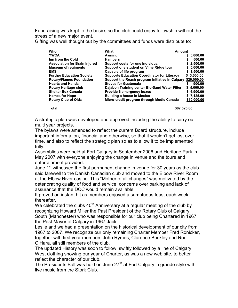Fundraising was kept to the basics so the club could enjoy fellowship without the stress of a new major event.

Gifting was well thought out by the committees and funds were distribute to:

| Who                                  | What                                               | <b>Amount</b>  |
|--------------------------------------|----------------------------------------------------|----------------|
| <b>YWCA</b>                          | Awning                                             | 5,000.00<br>s. |
| Inn from the Cold                    | <b>Hampers</b>                                     | 500.00<br>S    |
| <b>Association for Brain Injured</b> | Support costs for one individual                   | \$2,500.00     |
| <b>Museum of regiments</b>           | Support one student on Vimy Ridge tour             | \$5,000.00     |
| <b>EMS</b>                           | Capsule of life program                            | \$1,500.00     |
| <b>Further Education Society</b>     | <b>Supports Education Coordinator for Literacy</b> | \$3,000.00     |
| <b>Rotary/Flames Foundation</b>      | Support the Reach program initiative in Calgary    | \$20,000.00    |
| <b>Hearts and Hands</b>              | <b>Stoves for Guatemala</b>                        | 900.00<br>S    |
| Rotary Heritage club                 | Dajabon Training center Bio-Sand Water Filter      | \$5,000.00     |
| <b>Shelter Box Canada</b>            | Provide 6 emergency boxes                          | \$6,900.00     |
| <b>Homes for Hope</b>                | <b>Building a house in Mexico</b>                  | \$7,125.00     |
| <b>Rotary Club of Olds</b>           | Micro-credit program through Medic Canada          | \$10,000.00    |
|                                      |                                                    |                |

**Total \$67,525.00**

A strategic plan was developed and approved including the ability to carry out multi year projects.

The bylaws were amended to reflect the current Board structure, include important information, financial and otherwise, so that it wouldn't get lost over time, and also to reflect the strategic plan so as to allow it to be implemented fully.

Assemblies were held at Fort Calgary in September 2006 and Heritage Park in May 2007 with everyone enjoying the change in venue and the tours and entertainment provided.

June 1<sup>st</sup> witnessed the first permanent change in venue for 30 years as the club said farewell to the Danish Canadian club and moved to the Elbow River Room at the Elbow River casino. This "Mother of all changes" was motivated by the deteriorating quality of food and service, concerns over parking and lack of assurance that the DCC would remain available.

It proved an instant hit as members enjoyed a sumptuous feast each week thereafter.

We celebrated the clubs  $40<sup>th</sup>$  Anniversary at a regular meeting of the club by recognizing Howard Miller the Past President of the Rotary Club of Calgary South (Manchester) who was responsible for our club being Chartered in 1967, the Past Mayor of Calgary in 1967 Jack

Leslie and we had a presentation on the historical development of our city from 1967 to 2007. We recognize our only remaining Charter Member Fred Ronicker, together with first year members John Rymes, Clarence Buckley and Rod O'Hara, all still members of the club.

The updated History was soon to follow, swiftly followed by a line of Calgary West clothing showing our year of Charter, as was a new web site, to better reflect the character of our club.

The Presidents Ball was held on June 27<sup>th</sup> at Fort Calgary in grande style with live music from the Stork Club.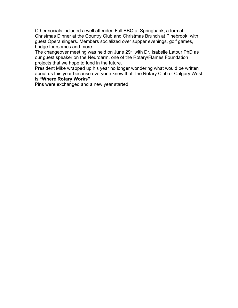Other socials included a well attended Fall BBQ at Springbank, a formal Christmas Dinner at the Country Club and Christmas Brunch at Pinebrook, with guest Opera singers. Members socialized over supper evenings, golf games, bridge foursomes and more.

The changeover meeting was held on June  $29<sup>th</sup>$  with Dr. Isabelle Latour PhD as our guest speaker on the Neuroarm, one of the Rotary/Flames Foundation projects that we hope to fund in the future.

President Mike wrapped up his year no longer wondering what would be written about us this year because everyone knew that The Rotary Club of Calgary West is **"Where Rotary Works"**

Pins were exchanged and a new year started.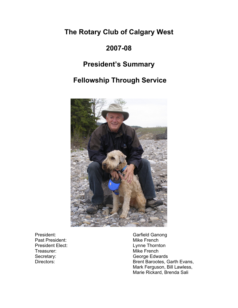# **The Rotary Club of Calgary West**

# **2007-08**

# **President's Summary**

# **Fellowship Through Service**



President:<br>
Past President:<br>
Past President:<br>
Carried Mike French Past President: Treasurer: Mike French

President Elect: Lynne Thornton Secretary: George Edwards Directors: **Brent Barootes, Garth Evans,** Mark Ferguson, Bill Lawless, Marie Rickard, Brenda Sali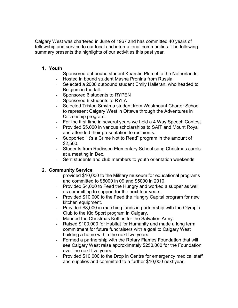Calgary West was chartered in June of 1967 and has committed 40 years of fellowship and service to our local and international communities. The following summary presents the highlights of our activities this past year.

# **1. Youth**

- Sponsored out bound student Kearstin Plemel to the Netherlands.
- Hosted in bound student Masha Pronina from Russia.
- Selected a 2008 outbound student Emily Halleran, who headed to Belgium in the fall.
- Sponsored 6 students to RYPEN
- Sponsored 6 students to RYLA
- Selected Triston Smyth a student from Westmount Charter School to represent Calgary West in Ottawa through the Adventures in Citizenship program.
- For the first time in several years we held a 4 Way Speech Contest
- Provided \$5,000 in various scholarships to SAIT and Mount Royal and attended their presentation to recipients.
- Supported "It's a Crime Not to Read" program in the amount of \$2,500.
- Students from Radisson Elementary School sang Christmas carols at a meeting in Dec.
- Sent students and club members to youth orientation weekends.

# **2. Community Service**

- provided \$10,000 to the Military museum for educational programs and committed to \$5000 in 09 and \$5000 in 2010.
- Provided \$4,000 to Feed the Hungry and worked a supper as well as committing to support for the next four years.
- Provided \$10,000 to the Feed the Hungry Capital program for new kitchen equipment.
- Provided \$8,000 in matching funds in partnership with the Olympic Club to the Kid Sport program in Calgary.
- Manned the Christmas Kettles for the Salvation Army.
- Raised \$103,000 for Habitat for Humanity and made a long term commitment for future fundraisers with a goal to Calgary West building a home within the next two years.
- Formed a partnership with the Rotary Flames Foundation that will see Calgary West raise approximately \$250,000 for the Foundation over the next five years.
- Provided \$10,000 to the Drop in Centre for emergency medical staff and supplies and committed to a further \$10,000 next year.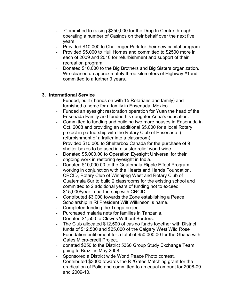- Committed to raising \$250,000 for the Drop In Centre through operating a number of Casinos on their behalf over the next five years.
- Provided \$10,000 to Challenger Park for their new capital program.
- Provided \$5,000 to Hull Homes and committed to \$2500 more in each of 2009 and 2010 for refurbishment and support of their recreation program
- Donated \$10,000 to the Big Brothers and Big Sisters organization.
- We cleaned up approximately three kilometers of Highway #1and committed to a further 3 years..

# **3. International Service**

- Funded, built ( hands on with 15 Rotarians and family) and furnished a home for a family in Ensenada, Mexico.
- Funded an eyesight restoration operation for Yuan the head of the Ensenada Family and funded his daughter Anna's education.
- Committed to funding and building two more houses in Ensenada in Oct. 2008 and providing an additional \$5,000 for a local Rotary project in partnership with the Rotary Club of Ensenada. ( refurbishment of a trailer into a classroom)
- Provided \$10,000 to Shelterbox Canada for the purchase of 9 shelter boxes to be used in disaster relief world wide.
- Donated \$5,000.00 to Operation Eyesight Universal for their ongoing work in restoring eyesight in India.
- Donated \$10,000.00 to the Guatemala Ripple Effect Program working in conjunction with the Hearts and Hands Foundation, CRCID, Rotary Club of Winnipeg West and Rotary Club of Guatemala Sur to build 2 classrooms for the existing school and committed to 2 additional years of funding not to exceed \$15,000/year in partnership with CRCID.
- Contributed \$3,000 towards the Zone establishing a Peace Scholarship in RI President Wilf Wilkinson' s name.
- Completed funding the Tonga project.
- Purchased malaria nets for families in Tanzania.
- Donated \$1,500 to Clowns Without Borders.
- The Club allocated \$12,500 of casino funds together with District funds of \$12,500 and \$25,000 of the Calgary West Wild Rose Foundation entitlement for a total of \$50,000.00 for the Ghana with Gates Micro-credit Project.
- donated \$250 to the District 5360 Group Study Exchange Team going to Brazil in May 2008.
- Sponsored a District wide World Peace Photo contest.
- Contributed \$3000 towards the RI/Gates Matching grant for the eradication of Polio and committed to an equal amount for 2008-09 and 2009-10.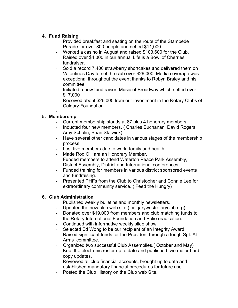# **4. Fund Raising**

- Provided breakfast and seating on the route of the Stampede Parade for over 800 people and netted \$11,000.
- Worked a casino in August and raised \$103,600 for the Club.
- Raised over \$4,000 in our annual Life is a Bowl of Cherries fundraiser.
- Sold a record 7,400 strawberry shortcakes and delivered them on Valentines Day to net the club over \$26,000. Media coverage was exceptional throughout the event thanks to Robyn Braley and his committee.
- Initiated a new fund raiser, Music of Broadway which netted over \$17,000
- Received about \$26,000 from our investment in the Rotary Clubs of Calgary Foundation.

#### - **5. Membership**

- Current membership stands at 87 plus 4 honorary members
- Inducted four new members. ( Charles Buchanan, David Rogers, Amy Schalin, Brian Stalwick)
- Have several other candidates in various stages of the membership process
- Lost five members due to work, family and health.
- Made Rod O'Hara an Honorary Member.
- Funded members to attend Waterton Peace Park Assembly, District Assembly, District and International conferences.
- Funded training for members in various district sponsored events and fundraising.
- Presented PHFs from the Club to Christopher and Connie Lee for extraordinary community service. ( Feed the Hungry)

# **6. Club Administration**

- Published weekly bulletins and monthly newsletters.
- Updated the new club web site.( calgarywestrotaryclub.org)
- Donated over \$19,000 from members and club matching funds to the Rotary International Foundation and Polio eradication.
- Continued with informative weekly slide show.
- Selected Ed Wong to be our recipient of an Integrity Award.
- Raised significant funds for the President through a tough Sgt. At Arms committee.
- Organized two successful Club Assemblies.( October and May)
- Kept the electronic roster up to date and published two major hard copy updates.
- Reviewed all club financial accounts, brought up to date and established mandatory financial procedures for future use.
- Posted the Club History on the Club web Site.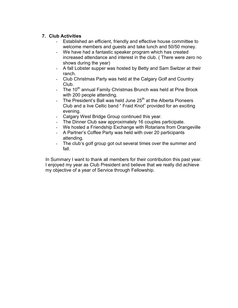# **7. Club Activities**

- Established an efficient, friendly and effective house committee to welcome members and guests and take lunch and 50/50 money.
- We have had a fantastic speaker program which has created increased attendance and interest in the club. ( There were zero no shows during the year)
- A fall Lobster supper was hosted by Betty and Sam Switzer at their ranch.
- Club Christmas Party was held at the Calgary Golf and Country Club.
- The 10<sup>th</sup> annual Family Christmas Brunch was held at Pine Brook with 200 people attending.
- The President's Ball was held June  $25<sup>th</sup>$  at the Alberta Pioneers Club and a live Celtic band " Fraid Knot" provided for an exciting evening.
- Calgary West Bridge Group continued this year.
- The Dinner Club saw approximately 16 couples participate.
- We hosted a Friendship Exchange with Rotarians from Orangeville
- A Partner's Coffee Party was held with over 20 participants attending.
- The club's golf group got out several times over the summer and fall.

In Summary I want to thank all members for their contribution this past year. I enjoyed my year as Club President and believe that we really did achieve my objective of a year of Service through Fellowship.